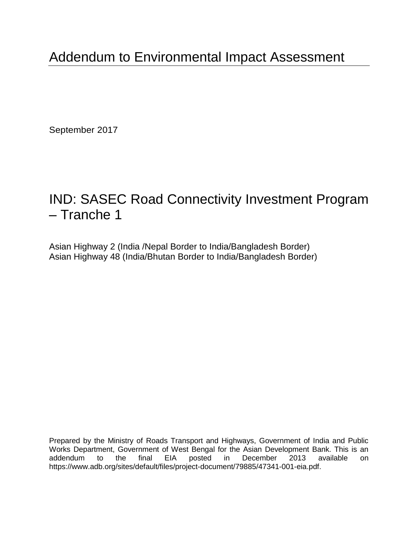September 2017

# IND: SASEC Road Connectivity Investment Program – Tranche 1

Asian Highway 2 (India /Nepal Border to India/Bangladesh Border) Asian Highway 48 (India/Bhutan Border to India/Bangladesh Border)

Prepared by the Ministry of Roads Transport and Highways, Government of India and Public Works Department, Government of West Bengal for the Asian Development Bank. This is an addendum to the final EIA posted in December 2013 available on https://www.adb.org/sites/default/files/project-document/79885/47341-001-eia.pdf.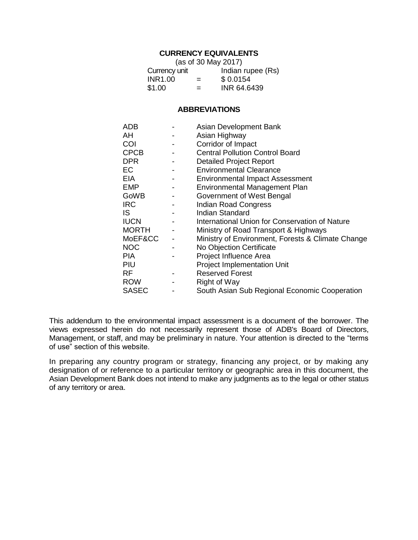## **CURRENCY EQUIVALENTS**

| (as of 30 May 2017) |     |                   |  |  |
|---------------------|-----|-------------------|--|--|
| Currency unit       |     | Indian rupee (Rs) |  |  |
| INR1.00             | $=$ | \$0.0154          |  |  |
| \$1.00              | $=$ | INR 64.6439       |  |  |

## **ABBREVIATIONS**

| ADB          | Asian Development Bank                            |
|--------------|---------------------------------------------------|
| AH           | Asian Highway                                     |
| COI          | Corridor of Impact                                |
| <b>CPCB</b>  | <b>Central Pollution Control Board</b>            |
| <b>DPR</b>   | <b>Detailed Project Report</b>                    |
| <b>EC</b>    | <b>Environmental Clearance</b>                    |
| EIA          | <b>Environmental Impact Assessment</b>            |
| EMP          | Environmental Management Plan                     |
| GoWB         | Government of West Bengal                         |
| <b>IRC</b>   | <b>Indian Road Congress</b>                       |
| IS.          | Indian Standard                                   |
| <b>IUCN</b>  | International Union for Conservation of Nature    |
| <b>MORTH</b> | Ministry of Road Transport & Highways             |
| MoEF&CC      | Ministry of Environment, Forests & Climate Change |
| <b>NOC</b>   | No Objection Certificate                          |
| <b>PIA</b>   | Project Influence Area                            |
| PIU          | <b>Project Implementation Unit</b>                |
| RF           | <b>Reserved Forest</b>                            |
| <b>ROW</b>   | <b>Right of Way</b>                               |
| <b>SASEC</b> | South Asian Sub Regional Economic Cooperation     |

This addendum to the environmental impact assessment is a document of the borrower. The views expressed herein do not necessarily represent those of ADB's Board of Directors, Management, or staff, and may be preliminary in nature. Your attention is directed to the "terms of use" section of this website.

In preparing any country program or strategy, financing any project, or by making any designation of or reference to a particular territory or geographic area in this document, the Asian Development Bank does not intend to make any judgments as to the legal or other status of any territory or area.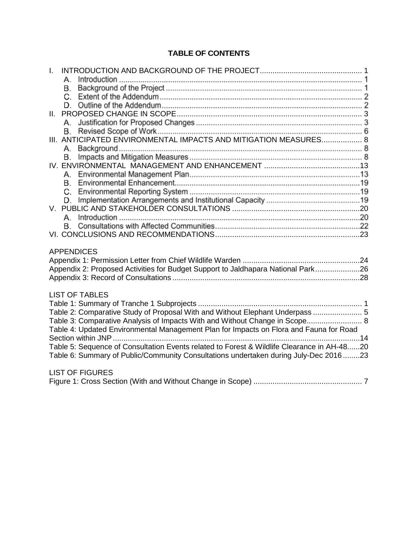## **TABLE OF CONTENTS**

| $\mathbf{L}$<br>A.<br>В. |                                                                                                                                                                                                                                                                                                                                                                                                                                                      |
|--------------------------|------------------------------------------------------------------------------------------------------------------------------------------------------------------------------------------------------------------------------------------------------------------------------------------------------------------------------------------------------------------------------------------------------------------------------------------------------|
|                          |                                                                                                                                                                                                                                                                                                                                                                                                                                                      |
| В.                       | III. ANTICIPATED ENVIRONMENTAL IMPACTS AND MITIGATION MEASURES 8                                                                                                                                                                                                                                                                                                                                                                                     |
| В.                       |                                                                                                                                                                                                                                                                                                                                                                                                                                                      |
|                          |                                                                                                                                                                                                                                                                                                                                                                                                                                                      |
| А.                       |                                                                                                                                                                                                                                                                                                                                                                                                                                                      |
|                          |                                                                                                                                                                                                                                                                                                                                                                                                                                                      |
| <b>APPENDICES</b>        |                                                                                                                                                                                                                                                                                                                                                                                                                                                      |
|                          | Appendix 2: Proposed Activities for Budget Support to Jaldhapara National Park26                                                                                                                                                                                                                                                                                                                                                                     |
| <b>LIST OF TABLES</b>    | Table 2: Comparative Study of Proposal With and Without Elephant Underpass  5<br>Table 3: Comparative Analysis of Impacts With and Without Change in Scope 8<br>Table 4: Updated Environmental Management Plan for Impacts on Flora and Fauna for Road<br>. 14<br>Table 5: Sequence of Consultation Events related to Forest & Wildlife Clearance in AH-4820<br>Table 6: Summary of Public/Community Consultations undertaken during July-Dec 201623 |
| <b>LIST OF FIGURES</b>   |                                                                                                                                                                                                                                                                                                                                                                                                                                                      |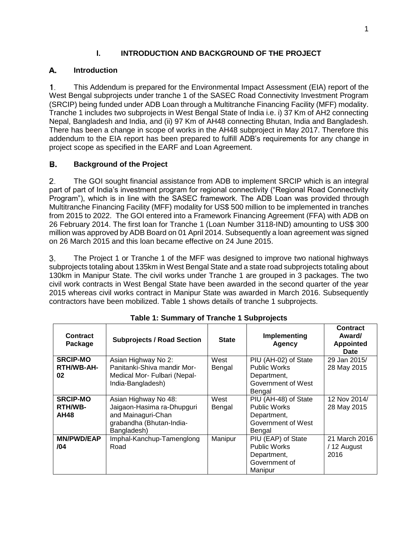## I. **INTRODUCTION AND BACKGROUND OF THE PROJECT**

### <span id="page-4-0"></span>А. **Introduction**

This Addendum is prepared for the Environmental Impact Assessment (EIA) report of the  $\mathbf{1}$ . West Bengal subprojects under tranche 1 of the SASEC Road Connectivity Investment Program (SRCIP) being funded under ADB Loan through a Multitranche Financing Facility (MFF) modality. Tranche 1 includes two subprojects in West Bengal State of India i.e. i) 37 Km of AH2 connecting Nepal, Bangladesh and India, and (ii) 97 Km of AH48 connecting Bhutan, India and Bangladesh. There has been a change in scope of works in the AH48 subproject in May 2017. Therefore this addendum to the EIA report has been prepared to fulfill ADB's requirements for any change in project scope as specified in the EARF and Loan Agreement.

### В. **Background of the Project**

 $2.$ The GOI sought financial assistance from ADB to implement SRCIP which is an integral part of part of India's investment program for regional connectivity ("Regional Road Connectivity Program"), which is in line with the SASEC framework. The ADB Loan was provided through Multitranche Financing Facility (MFF) modality for US\$ 500 million to be implemented in tranches from 2015 to 2022. The GOI entered into a Framework Financing Agreement (FFA) with ADB on 26 February 2014. The first loan for Tranche 1 (Loan Number 3118-IND) amounting to US\$ 300 million was approved by ADB Board on 01 April 2014. Subsequently a loan agreement was signed on 26 March 2015 and this loan became effective on 24 June 2015.

The Project 1 or Tranche 1 of the MFF was designed to improve two national highways 3. subprojects totaling about 135km in West Bengal State and a state road subprojects totaling about 130km in Manipur State. The civil works under Tranche 1 are grouped in 3 packages. The two civil work contracts in West Bengal State have been awarded in the second quarter of the year 2015 whereas civil works contract in Manipur State was awarded in March 2016. Subsequently contractors have been mobilized. Table 1 shows details of tranche 1 subprojects.

<span id="page-4-1"></span>

| Contract<br>Package                              | <b>Subprojects / Road Section</b>                                                                                   | <b>State</b>   | Implementing<br><b>Agency</b>                                                              | Contract<br>Award/<br><b>Appointed</b><br><b>Date</b> |
|--------------------------------------------------|---------------------------------------------------------------------------------------------------------------------|----------------|--------------------------------------------------------------------------------------------|-------------------------------------------------------|
| <b>SRCIP-MO</b><br>RTH/WB-AH-<br>02              | Asian Highway No 2:<br>Panitanki-Shiva mandir Mor-<br>Medical Mor- Fulbari (Nepal-<br>India-Bangladesh)             | West<br>Bengal | PIU (AH-02) of State<br><b>Public Works</b><br>Department,<br>Government of West<br>Bengal | 29 Jan 2015/<br>28 May 2015                           |
| <b>SRCIP-MO</b><br><b>RTH/WB-</b><br><b>AH48</b> | Asian Highway No 48:<br>Jaigaon-Hasima ra-Dhupguri<br>and Mainaguri-Chan<br>grabandha (Bhutan-India-<br>Bangladesh) | West<br>Bengal | PIU (AH-48) of State<br>Public Works<br>Department,<br>Government of West<br>Bengal        | 12 Nov 2014/<br>28 May 2015                           |
| <b>MN/PWD/EAP</b><br>104                         | Imphal-Kanchup-Tamenglong<br>Road                                                                                   | Manipur        | PIU (EAP) of State<br>Public Works<br>Department,<br>Government of<br>Manipur              | 21 March 2016<br>/ 12 August<br>2016                  |

**Table 1: Summary of Tranche 1 Subprojects**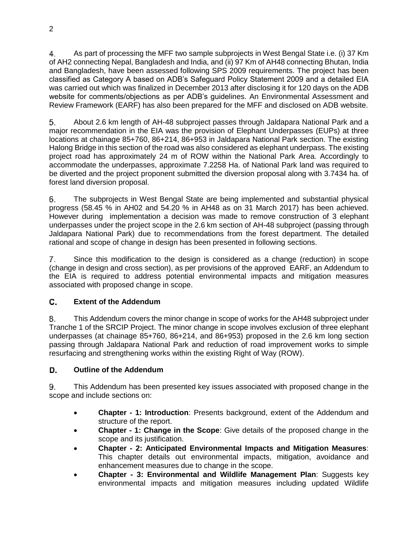As part of processing the MFF two sample subprojects in West Bengal State i.e. (i) 37 Km 4. of AH2 connecting Nepal, Bangladesh and India, and (ii) 97 Km of AH48 connecting Bhutan, India and Bangladesh, have been assessed following SPS 2009 requirements. The project has been classified as Category A based on ADB's Safeguard Policy Statement 2009 and a detailed EIA was carried out which was finalized in December 2013 after disclosing it for 120 days on the ADB website for comments/objections as per ADB's guidelines. An Environmental Assessment and Review Framework (EARF) has also been prepared for the MFF and disclosed on ADB website.

5. About 2.6 km length of AH-48 subproject passes through Jaldapara National Park and a major recommendation in the EIA was the provision of Elephant Underpasses (EUPs) at three locations at chainage 85+760, 86+214, 86+953 in Jaldapara National Park section. The existing Halong Bridge in this section of the road was also considered as elephant underpass. The existing project road has approximately 24 m of ROW within the National Park Area. Accordingly to accommodate the underpasses, approximate 7.2258 Ha. of National Park land was required to be diverted and the project proponent submitted the diversion proposal along with 3.7434 ha. of forest land diversion proposal.

The subprojects in West Bengal State are being implemented and substantial physical 6. progress (58.45 % in AH02 and 54.20 % in AH48 as on 31 March 2017) has been achieved. However during implementation a decision was made to remove construction of 3 elephant underpasses under the project scope in the 2.6 km section of AH-48 subproject (passing through Jaldapara National Park) due to recommendations from the forest department. The detailed rational and scope of change in design has been presented in following sections.

7. Since this modification to the design is considered as a change (reduction) in scope (change in design and cross section), as per provisions of the approved EARF, an Addendum to the EIA is required to address potential environmental impacts and mitigation measures associated with proposed change in scope.

### C. **Extent of the Addendum**

This Addendum covers the minor change in scope of works for the AH48 subproject under 8. Tranche 1 of the SRCIP Project. The minor change in scope involves exclusion of three elephant underpasses (at chainage 85+760, 86+214, and 86+953) proposed in the 2.6 km long section passing through Jaldapara National Park and reduction of road improvement works to simple resurfacing and strengthening works within the existing Right of Way (ROW).

### **Outline of the Addendum**  D.

9. This Addendum has been presented key issues associated with proposed change in the scope and include sections on:

- **Chapter - 1: Introduction**: Presents background, extent of the Addendum and structure of the report.
- **Chapter - 1: Change in the Scope**: Give details of the proposed change in the scope and its justification.
- **Chapter - 2: Anticipated Environmental Impacts and Mitigation Measures**: This chapter details out environmental impacts, mitigation, avoidance and enhancement measures due to change in the scope.
- **Chapter - 3: Environmental and Wildlife Management Plan**: Suggests key environmental impacts and mitigation measures including updated Wildlife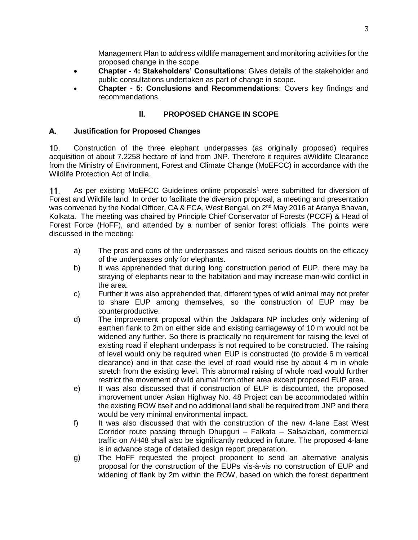Management Plan to address wildlife management and monitoring activities for the proposed change in the scope.

- **Chapter - 4: Stakeholders' Consultations**: Gives details of the stakeholder and public consultations undertaken as part of change in scope.
- **Chapter - 5: Conclusions and Recommendations**: Covers key findings and recommendations.

## II. **PROPOSED CHANGE IN SCOPE**

### <span id="page-6-0"></span>А. **Justification for Proposed Changes**

Construction of the three elephant underpasses (as originally proposed) requires 10. acquisition of about 7.2258 hectare of land from JNP. Therefore it requires aWildlife Clearance from the Ministry of Environment, Forest and Climate Change (MoEFCC) in accordance with the Wildlife Protection Act of India.

 $11.$ As per existing MoEFCC Guidelines online proposals<sup>1</sup> were submitted for diversion of Forest and Wildlife land. In order to facilitate the diversion proposal, a meeting and presentation was convened by the Nodal Officer, CA & FCA, West Bengal, on 2<sup>nd</sup> May 2016 at Aranya Bhavan, Kolkata. The meeting was chaired by Principle Chief Conservator of Forests (PCCF) & Head of Forest Force (HoFF), and attended by a number of senior forest officials. The points were discussed in the meeting:

- a) The pros and cons of the underpasses and raised serious doubts on the efficacy of the underpasses only for elephants.
- b) It was apprehended that during long construction period of EUP, there may be straying of elephants near to the habitation and may increase man-wild conflict in the area.
- c) Further it was also apprehended that, different types of wild animal may not prefer to share EUP among themselves, so the construction of EUP may be counterproductive.
- d) The improvement proposal within the Jaldapara NP includes only widening of earthen flank to 2m on either side and existing carriageway of 10 m would not be widened any further. So there is practically no requirement for raising the level of existing road if elephant underpass is not required to be constructed. The raising of level would only be required when EUP is constructed (to provide 6 m vertical clearance) and in that case the level of road would rise by about 4 m in whole stretch from the existing level. This abnormal raising of whole road would further restrict the movement of wild animal from other area except proposed EUP area.
- e) It was also discussed that if construction of EUP is discounted, the proposed improvement under Asian Highway No. 48 Project can be accommodated within the existing ROW itself and no additional land shall be required from JNP and there would be very minimal environmental impact.
- f) It was also discussed that with the construction of the new 4-lane East West Corridor route passing through Dhupguri – Falkata – Salsalabari, commercial traffic on AH48 shall also be significantly reduced in future. The proposed 4-lane is in advance stage of detailed design report preparation.
- g) The HoFF requested the project proponent to send an alternative analysis proposal for the construction of the EUPs vis-à-vis no construction of EUP and widening of flank by 2m within the ROW, based on which the forest department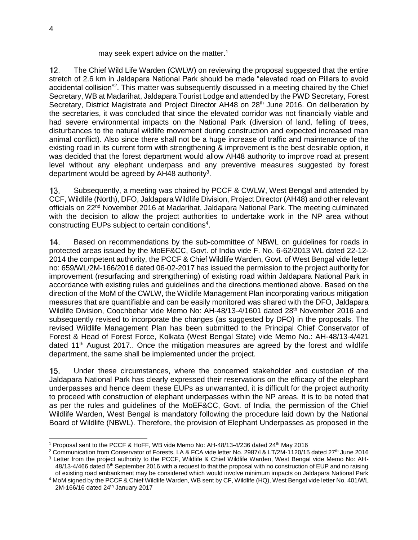## may seek expert advice on the matter.<sup>1</sup>

The Chief Wild Life Warden (CWLW) on reviewing the proposal suggested that the entire  $12<sub>1</sub>$ stretch of 2.6 km in Jaldapara National Park should be made "elevated road on Pillars to avoid accidental collision"<sup>2</sup>. This matter was subsequently discussed in a meeting chaired by the Chief Secretary, WB at Madarihat, Jaldapara Tourist Lodge and attended by the PWD Secretary, Forest Secretary, District Magistrate and Project Director AH48 on 28<sup>th</sup> June 2016. On deliberation by the secretaries, it was concluded that since the elevated corridor was not financially viable and had severe environmental impacts on the National Park (diversion of land, felling of trees, disturbances to the natural wildlife movement during construction and expected increased man animal conflict). Also since there shall not be a huge increase of traffic and maintenance of the existing road in its current form with strengthening & improvement is the best desirable option, it was decided that the forest department would allow AH48 authority to improve road at present level without any elephant underpass and any preventive measures suggested by forest department would be agreed by AH48 authority<sup>3</sup>.

Subsequently, a meeting was chaired by PCCF & CWLW, West Bengal and attended by  $13.$ CCF, Wildlife (North), DFO, Jaldapara Wildlife Division, Project Director (AH48) and other relevant officials on 22<sup>nd</sup> November 2016 at Madarihat, Jaldapara National Park. The meeting culminated with the decision to allow the project authorities to undertake work in the NP area without constructing EUPs subject to certain conditions<sup>4</sup>.

Based on recommendations by the sub-committee of NBWL on guidelines for roads in  $14.$ protected areas issued by the MoEF&CC, Govt. of India vide F. No. 6-62/2013 WL dated 22-12- 2014 the competent authority, the PCCF & Chief Wildlife Warden, Govt. of West Bengal vide letter no: 659/WL/2M-166/2016 dated 06-02-2017 has issued the permission to the project authority for improvement (resurfacing and strengthening) of existing road within Jaldapara National Park in accordance with existing rules and guidelines and the directions mentioned above. Based on the direction of the MoM of the CWLW, the Wildlife Management Plan incorporating various mitigation measures that are quantifiable and can be easily monitored was shared with the DFO, Jaldapara Wildlife Division, Coochbehar vide Memo No: AH-48/13-4/1601 dated 28<sup>th</sup> November 2016 and subsequently revised to incorporate the changes (as suggested by DFO) in the proposals. The revised Wildlife Management Plan has been submitted to the Principal Chief Conservator of Forest & Head of Forest Force, Kolkata (West Bengal State) vide Memo No.: AH-48/13-4/421 dated  $11<sup>th</sup>$  August 2017.. Once the mitigation measures are agreed by the forest and wildlife department, the same shall be implemented under the project.

Under these circumstances, where the concerned stakeholder and custodian of the  $15.$ Jaldapara National Park has clearly expressed their reservations on the efficacy of the elephant underpasses and hence deem these EUPs as unwarranted, it is difficult for the project authority to proceed with construction of elephant underpasses within the NP areas. It is to be noted that as per the rules and guidelines of the MoEF&CC, Govt. of India, the permission of the Chief Wildlife Warden, West Bengal is mandatory following the procedure laid down by the National Board of Wildlife (NBWL). Therefore, the provision of Elephant Underpasses as proposed in the

 $\overline{a}$ 

<sup>1</sup> Proposal sent to the PCCF & HoFF, WB vide Memo No: AH-48/13-4/236 dated 24th May 2016

<sup>&</sup>lt;sup>2</sup> Communication from Conservator of Forests, LA & FCA vide letter No. 2987/l & LT/2M-1120/15 dated 27<sup>th</sup> June 2016

<sup>3</sup> Letter from the project authority to the PCCF, Wildlife & Chief Wildlife Warden, West Bengal vide Memo No: AH-48/13-4/466 dated 6<sup>th</sup> September 2016 with a request to that the proposal with no construction of EUP and no raising of existing road embankment may be considered which would involve minimum impacts on Jaldapara National Park

<sup>4</sup> MoM signed by the PCCF & Chief Wildlife Warden, WB sent by CF, Wildlife (HQ), West Bengal vide letter No. 401/WL 2M-166/16 dated 24<sup>th</sup> January 2017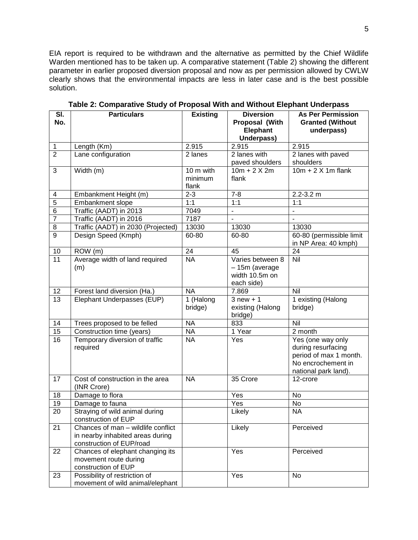EIA report is required to be withdrawn and the alternative as permitted by the Chief Wildlife Warden mentioned has to be taken up. A comparative statement (Table 2) showing the different parameter in earlier proposed diversion proposal and now as per permission allowed by CWLW clearly shows that the environmental impacts are less in later case and is the best possible solution.

<span id="page-8-0"></span>

| SI.<br>No.      | <b>Particulars</b>                                                                                 | <b>Existing</b>      | <b>Diversion</b><br>Proposal (With                                 | <b>As Per Permission</b><br><b>Granted (Without</b>                                                             |
|-----------------|----------------------------------------------------------------------------------------------------|----------------------|--------------------------------------------------------------------|-----------------------------------------------------------------------------------------------------------------|
|                 |                                                                                                    |                      | Elephant<br>Underpass)                                             | underpass)                                                                                                      |
| $\mathbf{1}$    | Length (Km)                                                                                        | 2.915                | 2.915                                                              | 2.915                                                                                                           |
| $\overline{2}$  | Lane configuration                                                                                 | 2 lanes              | 2 lanes with                                                       | 2 lanes with paved                                                                                              |
|                 |                                                                                                    |                      | paved shoulders                                                    | shoulders                                                                                                       |
| 3               | Width (m)                                                                                          | 10 m with            | $10m + 2X 2m$                                                      | $10m + 2X$ 1m flank                                                                                             |
|                 |                                                                                                    | minimum<br>flank     | flank                                                              |                                                                                                                 |
| 4               | Embankment Height (m)                                                                              | $2 - 3$              | $7 - 8$                                                            | $2.2 - 3.2$ m                                                                                                   |
| $\overline{5}$  | Embankment slope                                                                                   | 1:1                  | 1:1                                                                | 1:1                                                                                                             |
| 6               | Traffic (AADT) in 2013                                                                             | 7049                 | $\overline{\phantom{a}}$                                           | $\overline{a}$                                                                                                  |
| $\overline{7}$  | Traffic (AADT) in 2016                                                                             | 7187                 | $\blacksquare$                                                     | ÷,                                                                                                              |
| 8               | Traffic (AADT) in 2030 (Projected)                                                                 | 13030                | 13030                                                              | 13030                                                                                                           |
| $\overline{9}$  | Design Speed (Kmph)                                                                                | 60-80                | 60-80                                                              | 60-80 (permissible limit<br>in NP Area: 40 kmph)                                                                |
| 10              | ROW (m)                                                                                            | 24                   | 45                                                                 | 24                                                                                                              |
| $\overline{11}$ | Average width of land required<br>(m)                                                              | <b>NA</b>            | Varies between 8<br>- 15m (average<br>width 10.5m on<br>each side) | Nil                                                                                                             |
| 12              | Forest land diversion (Ha.)                                                                        | <b>NA</b>            | 7.869                                                              | $\overline{N}$ il                                                                                               |
| $\overline{13}$ | Elephant Underpasses (EUP)                                                                         | 1 (Halong<br>bridge) | $3$ new $+1$<br>existing (Halong<br>bridge)                        | 1 existing (Halong<br>bridge)                                                                                   |
| 14              | Trees proposed to be felled                                                                        | <b>NA</b>            | 833                                                                | $\overline{N}$ il                                                                                               |
| 15              | Construction time (years)                                                                          | <b>NA</b>            | 1 Year                                                             | 2 month                                                                                                         |
| 16              | Temporary diversion of traffic<br>required                                                         | <b>NA</b>            | Yes                                                                | Yes (one way only<br>during resurfacing<br>period of max 1 month.<br>No encrochement in<br>national park land). |
| 17              | Cost of construction in the area<br>(INR Crore)                                                    | <b>NA</b>            | 35 Crore                                                           | 12-crore                                                                                                        |
| 18              | Damage to flora                                                                                    |                      | Yes                                                                | No                                                                                                              |
| 19              | Damage to fauna                                                                                    |                      | Yes                                                                | No                                                                                                              |
| 20              | Straying of wild animal during<br>construction of EUP                                              |                      | Likely                                                             | <b>NA</b>                                                                                                       |
| 21              | Chances of man - wildlife conflict<br>in nearby inhabited areas during<br>construction of EUP/road |                      | Likely                                                             | Perceived                                                                                                       |
| 22              | Chances of elephant changing its<br>movement route during<br>construction of EUP                   |                      | Yes                                                                | Perceived                                                                                                       |
| 23              | Possibility of restriction of<br>movement of wild animal/elephant                                  |                      | Yes                                                                | No                                                                                                              |

**Table 2: Comparative Study of Proposal With and Without Elephant Underpass**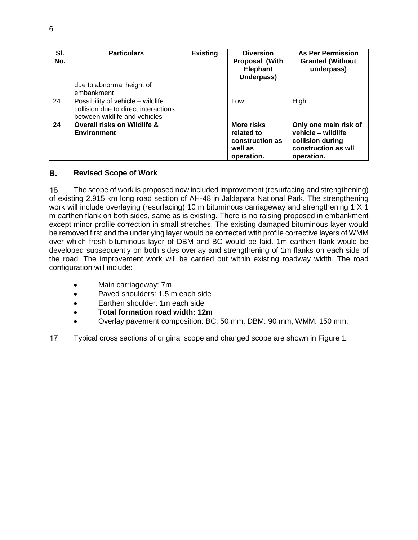| SI.<br>No. | <b>Particulars</b>                                                                                         | <b>Existing</b> | <b>Diversion</b><br><b>Proposal (With</b><br>Elephant<br>Underpass)  | <b>As Per Permission</b><br><b>Granted (Without</b><br>underpass)                                     |
|------------|------------------------------------------------------------------------------------------------------------|-----------------|----------------------------------------------------------------------|-------------------------------------------------------------------------------------------------------|
|            | due to abnormal height of<br>embankment                                                                    |                 |                                                                      |                                                                                                       |
| 24         | Possibility of vehicle - wildlife<br>collision due to direct interactions<br>between wildlife and vehicles |                 | Low                                                                  | High                                                                                                  |
| 24         | Overall risks on Wildlife &<br><b>Environment</b>                                                          |                 | More risks<br>related to<br>construction as<br>well as<br>operation. | Only one main risk of<br>vehicle - wildlife<br>collision during<br>construction as will<br>operation. |

### В. **Revised Scope of Work**

The scope of work is proposed now included improvement (resurfacing and strengthening) 16. of existing 2.915 km long road section of AH-48 in Jaldapara National Park. The strengthening work will include overlaying (resurfacing) 10 m bituminous carriageway and strengthening 1 X 1 m earthen flank on both sides, same as is existing. There is no raising proposed in embankment except minor profile correction in small stretches. The existing damaged bituminous layer would be removed first and the underlying layer would be corrected with profile corrective layers of WMM over which fresh bituminous layer of DBM and BC would be laid. 1m earthen flank would be developed subsequently on both sides overlay and strengthening of 1m flanks on each side of the road. The improvement work will be carried out within existing roadway width. The road configuration will include:

- Main carriageway: 7m
- Paved shoulders: 1.5 m each side
- Earthen shoulder: 1m each side
- **Total formation road width: 12m**
- Overlay pavement composition: BC: 50 mm, DBM: 90 mm, WMM: 150 mm;
- $17.$ Typical cross sections of original scope and changed scope are shown in Figure 1.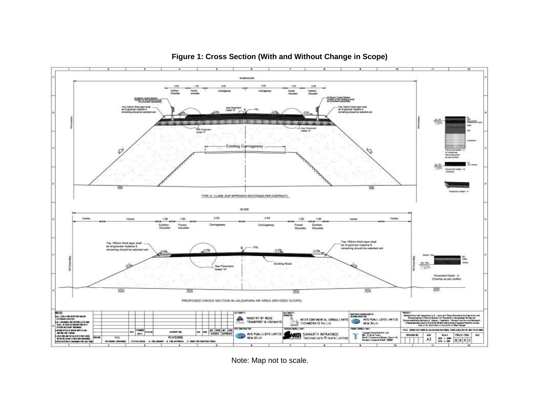<span id="page-10-0"></span>

## **Figure 1: Cross Section (With and Without Change in Scope)**

Note: Map not to scale.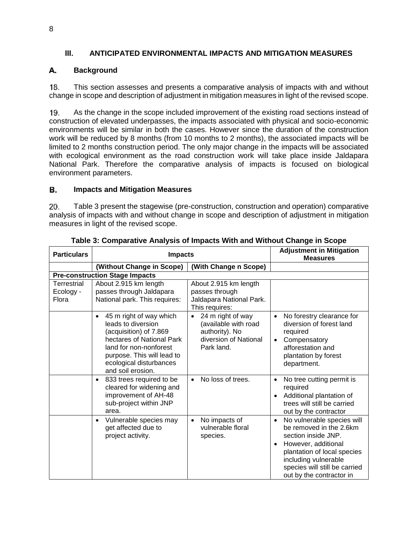## III. **ANTICIPATED ENVIRONMENTAL IMPACTS AND MITIGATION MEASURES**

### <span id="page-11-0"></span>А. **Background**

This section assesses and presents a comparative analysis of impacts with and without 18. change in scope and description of adjustment in mitigation measures in light of the revised scope.

As the change in the scope included improvement of the existing road sections instead of 19. construction of elevated underpasses, the impacts associated with physical and socio-economic environments will be similar in both the cases. However since the duration of the construction work will be reduced by 8 months (from 10 months to 2 months), the associated impacts will be limited to 2 months construction period. The only major change in the impacts will be associated with ecological environment as the road construction work will take place inside Jaldapara National Park. Therefore the comparative analysis of impacts is focused on biological environment parameters.

### В. **Impacts and Mitigation Measures**

20. Table 3 present the stagewise (pre-construction, construction and operation) comparative analysis of impacts with and without change in scope and description of adjustment in mitigation measures in light of the revised scope.

<span id="page-11-1"></span>

| <b>Particulars</b>                | <b>Impacts</b>                                                                                                                                                                                                            |                                                                                                                 | <b>Adjustment in Mitigation</b><br><b>Measures</b>                                                                                                                                                                                   |
|-----------------------------------|---------------------------------------------------------------------------------------------------------------------------------------------------------------------------------------------------------------------------|-----------------------------------------------------------------------------------------------------------------|--------------------------------------------------------------------------------------------------------------------------------------------------------------------------------------------------------------------------------------|
|                                   | (Without Change in Scope)                                                                                                                                                                                                 | (With Change n Scope)                                                                                           |                                                                                                                                                                                                                                      |
|                                   | <b>Pre-construction Stage Impacts</b>                                                                                                                                                                                     |                                                                                                                 |                                                                                                                                                                                                                                      |
| Terrestrial<br>Ecology -<br>Flora | About 2.915 km length<br>passes through Jaldapara<br>National park. This requires:                                                                                                                                        | About 2.915 km length<br>passes through<br>Jaldapara National Park.<br>This requires:                           |                                                                                                                                                                                                                                      |
|                                   | 45 m right of way which<br>$\bullet$<br>leads to diversion<br>(acquisition) of 7.869<br>hectares of National Park<br>land for non-nonforest<br>purpose. This will lead to<br>ecological disturbances<br>and soil erosion. | 24 m right of way<br>$\bullet$<br>(available with road<br>authority). No<br>diversion of National<br>Park land. | No forestry clearance for<br>$\bullet$<br>diversion of forest land<br>required<br>Compensatory<br>afforestation and<br>plantation by forest<br>department.                                                                           |
|                                   | 833 trees required to be<br>$\bullet$<br>cleared for widening and<br>improvement of AH-48<br>sub-project within JNP<br>area.                                                                                              | No loss of trees.<br>$\bullet$                                                                                  | No tree cutting permit is<br>$\bullet$<br>required<br>Additional plantation of<br>$\bullet$<br>trees will still be carried<br>out by the contractor                                                                                  |
|                                   | Vulnerable species may<br>$\bullet$<br>get affected due to<br>project activity.                                                                                                                                           | No impacts of<br>$\bullet$<br>vulnerable floral<br>species.                                                     | No vulnerable species will<br>$\bullet$<br>be removed in the 2.6km<br>section inside JNP.<br>However, additional<br>plantation of local species<br>including vulnerable<br>species will still be carried<br>out by the contractor in |

## **Table 3: Comparative Analysis of Impacts With and Without Change in Scope**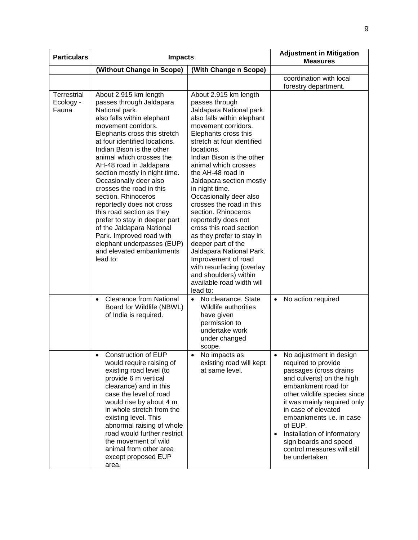| <b>Particulars</b>                | <b>Impacts</b>                                                                                                                                                                                                                                                                                                                                                                                                                                                                                                                                                                                                        |                                                                                                                                                                                                                                                                                                                                                                                                                                                                                                                                                                                                                                                          | <b>Adjustment in Mitigation</b><br><b>Measures</b>                                                                                                                                                                                                                                                                                                                             |
|-----------------------------------|-----------------------------------------------------------------------------------------------------------------------------------------------------------------------------------------------------------------------------------------------------------------------------------------------------------------------------------------------------------------------------------------------------------------------------------------------------------------------------------------------------------------------------------------------------------------------------------------------------------------------|----------------------------------------------------------------------------------------------------------------------------------------------------------------------------------------------------------------------------------------------------------------------------------------------------------------------------------------------------------------------------------------------------------------------------------------------------------------------------------------------------------------------------------------------------------------------------------------------------------------------------------------------------------|--------------------------------------------------------------------------------------------------------------------------------------------------------------------------------------------------------------------------------------------------------------------------------------------------------------------------------------------------------------------------------|
|                                   | (Without Change in Scope)                                                                                                                                                                                                                                                                                                                                                                                                                                                                                                                                                                                             | (With Change n Scope)                                                                                                                                                                                                                                                                                                                                                                                                                                                                                                                                                                                                                                    |                                                                                                                                                                                                                                                                                                                                                                                |
|                                   |                                                                                                                                                                                                                                                                                                                                                                                                                                                                                                                                                                                                                       |                                                                                                                                                                                                                                                                                                                                                                                                                                                                                                                                                                                                                                                          | coordination with local<br>forestry department.                                                                                                                                                                                                                                                                                                                                |
| Terrestrial<br>Ecology -<br>Fauna | About 2.915 km length<br>passes through Jaldapara<br>National park.<br>also falls within elephant<br>movement corridors.<br>Elephants cross this stretch<br>at four identified locations.<br>Indian Bison is the other<br>animal which crosses the<br>AH-48 road in Jaldapara<br>section mostly in night time.<br>Occasionally deer also<br>crosses the road in this<br>section. Rhinoceros<br>reportedly does not cross<br>this road section as they<br>prefer to stay in deeper part<br>of the Jaldapara National<br>Park. Improved road with<br>elephant underpasses (EUP)<br>and elevated embankments<br>lead to: | About 2.915 km length<br>passes through<br>Jaldapara National park.<br>also falls within elephant<br>movement corridors.<br>Elephants cross this<br>stretch at four identified<br>locations.<br>Indian Bison is the other<br>animal which crosses<br>the AH-48 road in<br>Jaldapara section mostly<br>in night time.<br>Occasionally deer also<br>crosses the road in this<br>section. Rhinoceros<br>reportedly does not<br>cross this road section<br>as they prefer to stay in<br>deeper part of the<br>Jaldapara National Park.<br>Improvement of road<br>with resurfacing (overlay<br>and shoulders) within<br>available road width will<br>lead to: |                                                                                                                                                                                                                                                                                                                                                                                |
|                                   | <b>Clearance from National</b><br>$\bullet$<br>Board for Wildlife (NBWL)<br>of India is required.                                                                                                                                                                                                                                                                                                                                                                                                                                                                                                                     | No clearance, State<br>$\bullet$<br>Wildlife authorities<br>have given<br>permission to<br>undertake work<br>under changed<br>scope.                                                                                                                                                                                                                                                                                                                                                                                                                                                                                                                     | No action required<br>$\bullet$                                                                                                                                                                                                                                                                                                                                                |
|                                   | Construction of EUP<br>would require raising of<br>existing road level (to<br>provide 6 m vertical<br>clearance) and in this<br>case the level of road<br>would rise by about 4 m<br>in whole stretch from the<br>existing level. This<br>abnormal raising of whole<br>road would further restrict<br>the movement of wild<br>animal from other area<br>except proposed EUP<br>area.                                                                                                                                                                                                                                  | No impacts as<br>existing road will kept<br>at same level.                                                                                                                                                                                                                                                                                                                                                                                                                                                                                                                                                                                               | No adjustment in design<br>required to provide<br>passages (cross drains<br>and culverts) on the high<br>embankment road for<br>other wildlife species since<br>it was mainly required only<br>in case of elevated<br>embankments i.e. in case<br>of EUP.<br>Installation of informatory<br>$\bullet$<br>sign boards and speed<br>control measures will still<br>be undertaken |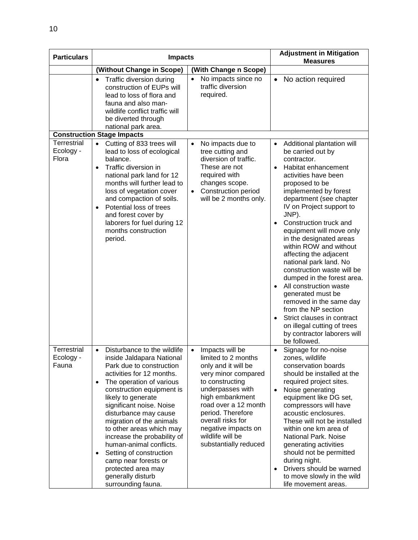| <b>Particulars</b>                       | <b>Impacts</b>                                                                                                                                                                                                                                                                                                                                                                                                                                                                                                        |                                                                                                                                                                                                                                                                                                   | <b>Adjustment in Mitigation</b><br><b>Measures</b>                                                                                                                                                                                                                                                                                                                                                                                                                                                                                                                                                                                                                                                      |
|------------------------------------------|-----------------------------------------------------------------------------------------------------------------------------------------------------------------------------------------------------------------------------------------------------------------------------------------------------------------------------------------------------------------------------------------------------------------------------------------------------------------------------------------------------------------------|---------------------------------------------------------------------------------------------------------------------------------------------------------------------------------------------------------------------------------------------------------------------------------------------------|---------------------------------------------------------------------------------------------------------------------------------------------------------------------------------------------------------------------------------------------------------------------------------------------------------------------------------------------------------------------------------------------------------------------------------------------------------------------------------------------------------------------------------------------------------------------------------------------------------------------------------------------------------------------------------------------------------|
|                                          | (Without Change in Scope)                                                                                                                                                                                                                                                                                                                                                                                                                                                                                             | (With Change n Scope)                                                                                                                                                                                                                                                                             |                                                                                                                                                                                                                                                                                                                                                                                                                                                                                                                                                                                                                                                                                                         |
|                                          | Traffic diversion during<br>$\bullet$<br>construction of EUPs will<br>lead to loss of flora and<br>fauna and also man-<br>wildlife conflict traffic will<br>be diverted through<br>national park area.                                                                                                                                                                                                                                                                                                                | No impacts since no<br>$\bullet$<br>traffic diversion<br>required.                                                                                                                                                                                                                                | No action required<br>$\bullet$                                                                                                                                                                                                                                                                                                                                                                                                                                                                                                                                                                                                                                                                         |
|                                          | <b>Construction Stage Impacts</b>                                                                                                                                                                                                                                                                                                                                                                                                                                                                                     |                                                                                                                                                                                                                                                                                                   |                                                                                                                                                                                                                                                                                                                                                                                                                                                                                                                                                                                                                                                                                                         |
| Terrestrial<br>Ecology -<br>Flora        | Cutting of 833 trees will<br>$\bullet$<br>lead to loss of ecological<br>balance.<br>Traffic diversion in<br>$\bullet$<br>national park land for 12<br>months will further lead to<br>loss of vegetation cover<br>and compaction of soils.<br>Potential loss of trees<br>$\bullet$<br>and forest cover by<br>laborers for fuel during 12<br>months construction<br>period.                                                                                                                                             | No impacts due to<br>$\bullet$<br>tree cutting and<br>diversion of traffic.<br>These are not<br>required with<br>changes scope.<br>Construction period<br>will be 2 months only.                                                                                                                  | Additional plantation will<br>$\bullet$<br>be carried out by<br>contractor.<br>Habitat enhancement<br>$\bullet$<br>activities have been<br>proposed to be<br>implemented by forest<br>department (see chapter<br>IV on Project support to<br>JNP).<br>Construction truck and<br>$\bullet$<br>equipment will move only<br>in the designated areas<br>within ROW and without<br>affecting the adjacent<br>national park land. No<br>construction waste will be<br>dumped in the forest area.<br>All construction waste<br>generated must be<br>removed in the same day<br>from the NP section<br>Strict clauses in contract<br>on illegal cutting of trees<br>by contractor laborers will<br>be followed. |
| <b>Terrestrial</b><br>Ecology -<br>Fauna | Disturbance to the wildlife<br>$\bullet$<br>inside Jaldapara National<br>Park due to construction<br>activities for 12 months.<br>The operation of various<br>$\bullet$<br>construction equipment is<br>likely to generate<br>significant noise. Noise<br>disturbance may cause<br>migration of the animals<br>to other areas which may<br>increase the probability of<br>human-animal conflicts.<br>Setting of construction<br>camp near forests or<br>protected area may<br>generally disturb<br>surrounding fauna. | Impacts will be<br>$\bullet$<br>limited to 2 months<br>only and it will be<br>very minor compared<br>to constructing<br>underpasses with<br>high embankment<br>road over a 12 month<br>period. Therefore<br>overall risks for<br>negative impacts on<br>wildlife will be<br>substantially reduced | Signage for no-noise<br>$\bullet$<br>zones, wildlife<br>conservation boards<br>should be installed at the<br>required project sites.<br>$\bullet$<br>Noise generating<br>equipment like DG set,<br>compressors will have<br>acoustic enclosures.<br>These will not be installed<br>within one km area of<br>National Park. Noise<br>generating activities<br>should not be permitted<br>during night.<br>Drivers should be warned<br>$\bullet$<br>to move slowly in the wild<br>life movement areas.                                                                                                                                                                                                    |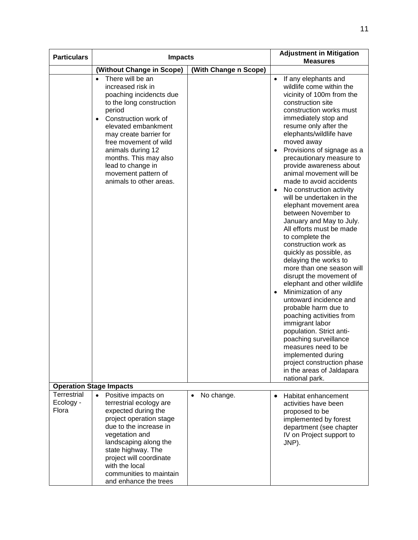| <b>Particulars</b>                | <b>Impacts</b>                                                                                                                                                                                                                                                                                                                                          |                         | <b>Adjustment in Mitigation</b><br><b>Measures</b>                                                                                                                                                                                                                                                                                                                                                                                                                                                                                                                                                                                                                                                                                                                                                                                                                                                                                                                                                                                             |
|-----------------------------------|---------------------------------------------------------------------------------------------------------------------------------------------------------------------------------------------------------------------------------------------------------------------------------------------------------------------------------------------------------|-------------------------|------------------------------------------------------------------------------------------------------------------------------------------------------------------------------------------------------------------------------------------------------------------------------------------------------------------------------------------------------------------------------------------------------------------------------------------------------------------------------------------------------------------------------------------------------------------------------------------------------------------------------------------------------------------------------------------------------------------------------------------------------------------------------------------------------------------------------------------------------------------------------------------------------------------------------------------------------------------------------------------------------------------------------------------------|
|                                   | (Without Change in Scope)                                                                                                                                                                                                                                                                                                                               | (With Change n Scope)   |                                                                                                                                                                                                                                                                                                                                                                                                                                                                                                                                                                                                                                                                                                                                                                                                                                                                                                                                                                                                                                                |
|                                   | There will be an<br>$\bullet$<br>increased risk in<br>poaching incidencts due<br>to the long construction<br>period<br>Construction work of<br>$\bullet$<br>elevated embankment<br>may create barrier for<br>free movement of wild<br>animals during 12<br>months. This may also<br>lead to change in<br>movement pattern of<br>animals to other areas. |                         | If any elephants and<br>$\bullet$<br>wildlife come within the<br>vicinity of 100m from the<br>construction site<br>construction works must<br>immediately stop and<br>resume only after the<br>elephants/wildlife have<br>moved away<br>Provisions of signage as a<br>precautionary measure to<br>provide awareness about<br>animal movement will be<br>made to avoid accidents<br>No construction activity<br>will be undertaken in the<br>elephant movement area<br>between November to<br>January and May to July.<br>All efforts must be made<br>to complete the<br>construction work as<br>quickly as possible, as<br>delaying the works to<br>more than one season will<br>disrupt the movement of<br>elephant and other wildlife<br>Minimization of any<br>untoward incidence and<br>probable harm due to<br>poaching activities from<br>immigrant labor<br>population. Strict anti-<br>poaching surveillance<br>measures need to be<br>implemented during<br>project construction phase<br>in the areas of Jaldapara<br>national park. |
|                                   | <b>Operation Stage Impacts</b>                                                                                                                                                                                                                                                                                                                          |                         |                                                                                                                                                                                                                                                                                                                                                                                                                                                                                                                                                                                                                                                                                                                                                                                                                                                                                                                                                                                                                                                |
| Terrestrial<br>Ecology -<br>Flora | $\bullet$<br>Positive impacts on<br>terrestrial ecology are<br>expected during the<br>project operation stage<br>due to the increase in<br>vegetation and<br>landscaping along the<br>state highway. The<br>project will coordinate<br>with the local<br>communities to maintain<br>and enhance the trees                                               | No change.<br>$\bullet$ | Habitat enhancement<br>activities have been<br>proposed to be<br>implemented by forest<br>department (see chapter<br>IV on Project support to<br>JNP).                                                                                                                                                                                                                                                                                                                                                                                                                                                                                                                                                                                                                                                                                                                                                                                                                                                                                         |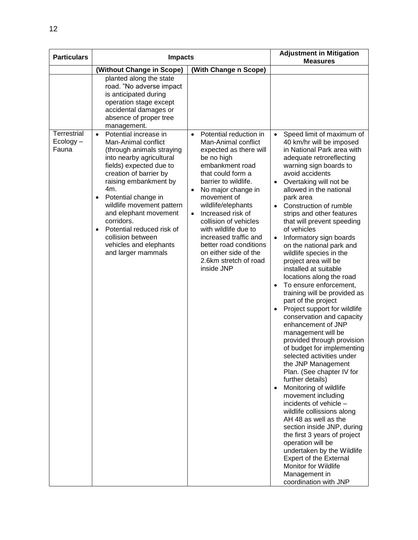| <b>Particulars</b>   | <b>Impacts</b>                                                                                                                                                                                                                                                                                                                                                 |                                                                                                                                                                                                                                                                                                                                                                                                           | <b>Adjustment in Mitigation</b><br><b>Measures</b>                                                                                                                                                                                                                                                                                                                                                                                                                                                                                                                                                                                                                                                                                                                                                                                                                                                                                                                                                                                                                                                                                                                                                                              |
|----------------------|----------------------------------------------------------------------------------------------------------------------------------------------------------------------------------------------------------------------------------------------------------------------------------------------------------------------------------------------------------------|-----------------------------------------------------------------------------------------------------------------------------------------------------------------------------------------------------------------------------------------------------------------------------------------------------------------------------------------------------------------------------------------------------------|---------------------------------------------------------------------------------------------------------------------------------------------------------------------------------------------------------------------------------------------------------------------------------------------------------------------------------------------------------------------------------------------------------------------------------------------------------------------------------------------------------------------------------------------------------------------------------------------------------------------------------------------------------------------------------------------------------------------------------------------------------------------------------------------------------------------------------------------------------------------------------------------------------------------------------------------------------------------------------------------------------------------------------------------------------------------------------------------------------------------------------------------------------------------------------------------------------------------------------|
|                      | (Without Change in Scope)                                                                                                                                                                                                                                                                                                                                      | (With Change n Scope)                                                                                                                                                                                                                                                                                                                                                                                     |                                                                                                                                                                                                                                                                                                                                                                                                                                                                                                                                                                                                                                                                                                                                                                                                                                                                                                                                                                                                                                                                                                                                                                                                                                 |
| <b>Terrestrial</b>   | planted along the state<br>road. "No adverse impact<br>is anticipated during<br>operation stage except<br>accidental damages or<br>absence of proper tree<br>management.<br>$\bullet$<br>Potential increase in                                                                                                                                                 | Potential reduction in<br>$\bullet$                                                                                                                                                                                                                                                                                                                                                                       | Speed limit of maximum of<br>$\bullet$                                                                                                                                                                                                                                                                                                                                                                                                                                                                                                                                                                                                                                                                                                                                                                                                                                                                                                                                                                                                                                                                                                                                                                                          |
| $Ecology -$<br>Fauna | Man-Animal conflict<br>(through animals straying<br>into nearby agricultural<br>fields) expected due to<br>creation of barrier by<br>raising embankment by<br>4m.<br>Potential change in<br>wildlife movement pattern<br>and elephant movement<br>corridors.<br>Potential reduced risk of<br>collision between<br>vehicles and elephants<br>and larger mammals | Man-Animal conflict<br>expected as there will<br>be no high<br>embankment road<br>that could form a<br>barrier to wildlife.<br>No major change in<br>$\bullet$<br>movement of<br>wildlife/elephants<br>Increased risk of<br>$\bullet$<br>collision of vehicles<br>with wildlife due to<br>increased traffic and<br>better road conditions<br>on either side of the<br>2.6km stretch of road<br>inside JNP | 40 km/hr will be imposed<br>in National Park area with<br>adequate retroreflecting<br>warning sign boards to<br>avoid accidents<br>Overtaking will not be<br>$\bullet$<br>allowed in the national<br>park area<br>Construction of rumble<br>$\bullet$<br>strips and other features<br>that will prevent speeding<br>of vehicles<br>Informatory sign boards<br>on the national park and<br>wildlife species in the<br>project area will be<br>installed at suitable<br>locations along the road<br>To ensure enforcement,<br>$\bullet$<br>training will be provided as<br>part of the project<br>Project support for wildlife<br>conservation and capacity<br>enhancement of JNP<br>management will be<br>provided through provision<br>of budget for implementing<br>selected activities under<br>the JNP Management<br>Plan. (See chapter IV for<br>further details)<br>Monitoring of wildlife<br>$\bullet$<br>movement including<br>incidents of vehicle -<br>wildlife collissions along<br>AH 48 as well as the<br>section inside JNP, during<br>the first 3 years of project<br>operation will be<br>undertaken by the Wildlife<br>Expert of the External<br>Monitor for Wildlife<br>Management in<br>coordination with JNP |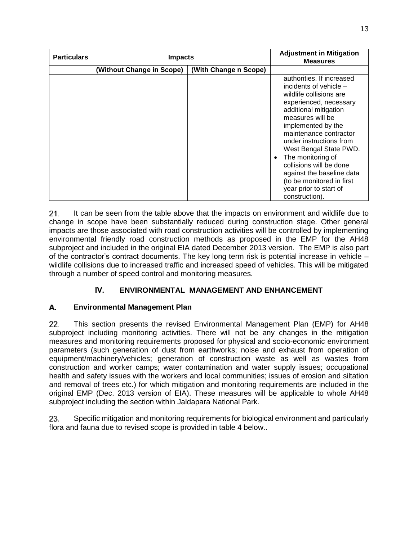| <b>Particulars</b> | <b>Impacts</b>            |                       | <b>Adjustment in Mitigation</b><br><b>Measures</b>                                                                                                                                                                                                                                                                                                                                                               |
|--------------------|---------------------------|-----------------------|------------------------------------------------------------------------------------------------------------------------------------------------------------------------------------------------------------------------------------------------------------------------------------------------------------------------------------------------------------------------------------------------------------------|
|                    | (Without Change in Scope) | (With Change n Scope) |                                                                                                                                                                                                                                                                                                                                                                                                                  |
|                    |                           |                       | authorities. If increased<br>incidents of vehicle -<br>wildlife collisions are<br>experienced, necessary<br>additional mitigation<br>measures will be<br>implemented by the<br>maintenance contractor<br>under instructions from<br>West Bengal State PWD.<br>The monitoring of<br>collisions will be done<br>against the baseline data<br>(to be monitored in first<br>year prior to start of<br>construction). |

It can be seen from the table above that the impacts on environment and wildlife due to  $21.$ change in scope have been substantially reduced during construction stage. Other general impacts are those associated with road construction activities will be controlled by implementing environmental friendly road construction methods as proposed in the EMP for the AH48 subproject and included in the original EIA dated December 2013 version. The EMP is also part of the contractor's contract documents. The key long term risk is potential increase in vehicle – wildlife collisions due to increased traffic and increased speed of vehicles. This will be mitigated through a number of speed control and monitoring measures.

## IV. **ENVIRONMENTAL MANAGEMENT AND ENHANCEMENT**

### <span id="page-16-0"></span>А. **Environmental Management Plan**

22. This section presents the revised Environmental Management Plan (EMP) for AH48 subproject including monitoring activities. There will not be any changes in the mitigation measures and monitoring requirements proposed for physical and socio-economic environment parameters (such generation of dust from earthworks; noise and exhaust from operation of equipment/machinery/vehicles; generation of construction waste as well as wastes from construction and worker camps; water contamination and water supply issues; occupational health and safety issues with the workers and local communities; issues of erosion and siltation and removal of trees etc.) for which mitigation and monitoring requirements are included in the original EMP (Dec. 2013 version of EIA). These measures will be applicable to whole AH48 subproject including the section within Jaldapara National Park.

23. Specific mitigation and monitoring requirements for biological environment and particularly flora and fauna due to revised scope is provided in table 4 below..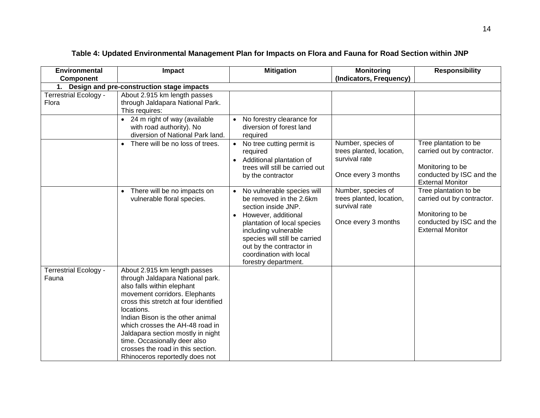<span id="page-17-0"></span>

| <b>Environmental</b>                  | Impact                                                                                                                                                                                                                                                                                                                                                                                                    | <b>Mitigation</b>                                                                                                                                                                                                                                                                       | <b>Monitoring</b>                                                                      | <b>Responsibility</b>                                                                                                          |
|---------------------------------------|-----------------------------------------------------------------------------------------------------------------------------------------------------------------------------------------------------------------------------------------------------------------------------------------------------------------------------------------------------------------------------------------------------------|-----------------------------------------------------------------------------------------------------------------------------------------------------------------------------------------------------------------------------------------------------------------------------------------|----------------------------------------------------------------------------------------|--------------------------------------------------------------------------------------------------------------------------------|
| <b>Component</b>                      |                                                                                                                                                                                                                                                                                                                                                                                                           |                                                                                                                                                                                                                                                                                         | (Indicators, Frequency)                                                                |                                                                                                                                |
| 1.                                    | Design and pre-construction stage impacts                                                                                                                                                                                                                                                                                                                                                                 |                                                                                                                                                                                                                                                                                         |                                                                                        |                                                                                                                                |
| <b>Terrestrial Ecology -</b><br>Flora | About 2.915 km length passes<br>through Jaldapara National Park.<br>This requires:                                                                                                                                                                                                                                                                                                                        |                                                                                                                                                                                                                                                                                         |                                                                                        |                                                                                                                                |
|                                       | 24 m right of way (available<br>$\bullet$<br>with road authority). No<br>diversion of National Park land.                                                                                                                                                                                                                                                                                                 | No forestry clearance for<br>diversion of forest land<br>required                                                                                                                                                                                                                       |                                                                                        |                                                                                                                                |
|                                       | There will be no loss of trees.<br>$\bullet$                                                                                                                                                                                                                                                                                                                                                              | No tree cutting permit is<br>required<br>Additional plantation of<br>$\bullet$<br>trees will still be carried out<br>by the contractor                                                                                                                                                  | Number, species of<br>trees planted, location,<br>survival rate<br>Once every 3 months | Tree plantation to be<br>carried out by contractor.<br>Monitoring to be<br>conducted by ISC and the<br><b>External Monitor</b> |
|                                       | There will be no impacts on<br>$\bullet$<br>vulnerable floral species.                                                                                                                                                                                                                                                                                                                                    | No vulnerable species will<br>be removed in the 2.6km<br>section inside JNP.<br>However, additional<br>$\bullet$<br>plantation of local species<br>including vulnerable<br>species will still be carried<br>out by the contractor in<br>coordination with local<br>forestry department. | Number, species of<br>trees planted, location,<br>survival rate<br>Once every 3 months | Tree plantation to be<br>carried out by contractor.<br>Monitoring to be<br>conducted by ISC and the<br><b>External Monitor</b> |
| <b>Terrestrial Ecology -</b><br>Fauna | About 2.915 km length passes<br>through Jaldapara National park.<br>also falls within elephant<br>movement corridors. Elephants<br>cross this stretch at four identified<br>locations.<br>Indian Bison is the other animal<br>which crosses the AH-48 road in<br>Jaldapara section mostly in night<br>time. Occasionally deer also<br>crosses the road in this section.<br>Rhinoceros reportedly does not |                                                                                                                                                                                                                                                                                         |                                                                                        |                                                                                                                                |

## **Table 4: Updated Environmental Management Plan for Impacts on Flora and Fauna for Road Section within JNP**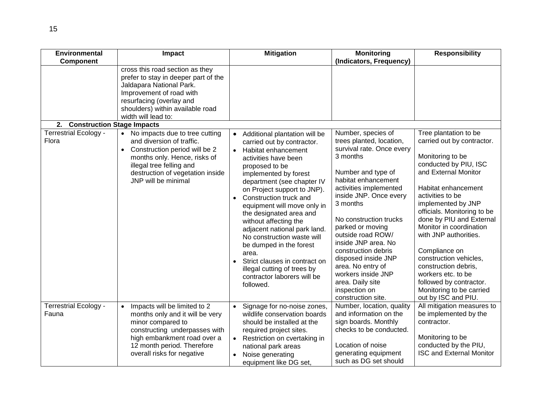| <b>Environmental</b>                    | Impact                                                                                                                                                                                                                        | <b>Mitigation</b>                                                                                                                                                                                                                                                                                                                                                                                                                                                                                                                                          | <b>Monitoring</b>                                                                                                                                                                                                                                                                                                                                                                                                            | <b>Responsibility</b>                                                                                                                                                                                                                                                                                                                                                                                                                                  |
|-----------------------------------------|-------------------------------------------------------------------------------------------------------------------------------------------------------------------------------------------------------------------------------|------------------------------------------------------------------------------------------------------------------------------------------------------------------------------------------------------------------------------------------------------------------------------------------------------------------------------------------------------------------------------------------------------------------------------------------------------------------------------------------------------------------------------------------------------------|------------------------------------------------------------------------------------------------------------------------------------------------------------------------------------------------------------------------------------------------------------------------------------------------------------------------------------------------------------------------------------------------------------------------------|--------------------------------------------------------------------------------------------------------------------------------------------------------------------------------------------------------------------------------------------------------------------------------------------------------------------------------------------------------------------------------------------------------------------------------------------------------|
| <b>Component</b>                        |                                                                                                                                                                                                                               |                                                                                                                                                                                                                                                                                                                                                                                                                                                                                                                                                            | (Indicators, Frequency)                                                                                                                                                                                                                                                                                                                                                                                                      |                                                                                                                                                                                                                                                                                                                                                                                                                                                        |
| <b>Construction Stage Impacts</b><br>2. | cross this road section as they<br>prefer to stay in deeper part of the<br>Jaldapara National Park.<br>Improvement of road with<br>resurfacing (overlay and<br>shoulders) within available road<br>width will lead to:        |                                                                                                                                                                                                                                                                                                                                                                                                                                                                                                                                                            |                                                                                                                                                                                                                                                                                                                                                                                                                              |                                                                                                                                                                                                                                                                                                                                                                                                                                                        |
| <b>Terrestrial Ecology -</b>            | No impacts due to tree cutting<br>$\bullet$                                                                                                                                                                                   |                                                                                                                                                                                                                                                                                                                                                                                                                                                                                                                                                            | Number, species of                                                                                                                                                                                                                                                                                                                                                                                                           | Tree plantation to be                                                                                                                                                                                                                                                                                                                                                                                                                                  |
| Flora                                   | and diversion of traffic.<br>Construction period will be 2<br>months only. Hence, risks of<br>illegal tree felling and<br>destruction of vegetation inside<br>JNP will be minimal                                             | Additional plantation will be<br>$\bullet$<br>carried out by contractor.<br>Habitat enhancement<br>activities have been<br>proposed to be<br>implemented by forest<br>department (see chapter IV<br>on Project support to JNP).<br>Construction truck and<br>equipment will move only in<br>the designated area and<br>without affecting the<br>adjacent national park land.<br>No construction waste will<br>be dumped in the forest<br>area.<br>Strict clauses in contract on<br>illegal cutting of trees by<br>contractor laborers will be<br>followed. | trees planted, location,<br>survival rate. Once every<br>3 months<br>Number and type of<br>habitat enhancement<br>activities implemented<br>inside JNP. Once every<br>3 months<br>No construction trucks<br>parked or moving<br>outside road ROW/<br>inside JNP area. No<br>construction debris<br>disposed inside JNP<br>area. No entry of<br>workers inside JNP<br>area. Daily site<br>inspection on<br>construction site. | carried out by contractor.<br>Monitoring to be<br>conducted by PIU, ISC<br>and External Monitor<br>Habitat enhancement<br>activities to be<br>implemented by JNP<br>officials. Monitoring to be<br>done by PIU and External<br>Monitor in coordination<br>with JNP authorities.<br>Compliance on<br>construction vehicles,<br>construction debris,<br>workers etc. to be<br>followed by contractor.<br>Monitoring to be carried<br>out by ISC and PIU. |
| <b>Terrestrial Ecology -</b><br>Fauna   | Impacts will be limited to 2<br>$\bullet$<br>months only and it will be very<br>minor compared to<br>constructing underpasses with<br>high embankment road over a<br>12 month period. Therefore<br>overall risks for negative | Signage for no-noise zones,<br>wildlife conservation boards<br>should be installed at the<br>required project sites.<br>Restriction on cvertaking in<br>national park areas<br>Noise generating<br>equipment like DG set,                                                                                                                                                                                                                                                                                                                                  | Number, location, quality<br>and information on the<br>sign boards. Monthly<br>checks to be conducted.<br>Location of noise<br>generating equipment<br>such as DG set should                                                                                                                                                                                                                                                 | All mitigation measures to<br>be implemented by the<br>contractor.<br>Monitoring to be<br>conducted by the PIU,<br><b>ISC and External Monitor</b>                                                                                                                                                                                                                                                                                                     |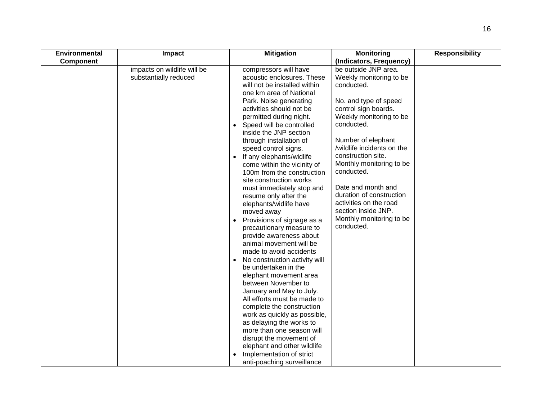| <b>Environmental</b> | Impact                                               | <b>Mitigation</b>                                                                                                                                                                                                                                                                                                                                                                                                                                                                                                                                                                                                                                                                                                                                                                                                                                                                                                                                                                                                                                                                                              | <b>Monitoring</b>                                                                                                                                                                                                                                                                                                                                                                                                        | <b>Responsibility</b> |
|----------------------|------------------------------------------------------|----------------------------------------------------------------------------------------------------------------------------------------------------------------------------------------------------------------------------------------------------------------------------------------------------------------------------------------------------------------------------------------------------------------------------------------------------------------------------------------------------------------------------------------------------------------------------------------------------------------------------------------------------------------------------------------------------------------------------------------------------------------------------------------------------------------------------------------------------------------------------------------------------------------------------------------------------------------------------------------------------------------------------------------------------------------------------------------------------------------|--------------------------------------------------------------------------------------------------------------------------------------------------------------------------------------------------------------------------------------------------------------------------------------------------------------------------------------------------------------------------------------------------------------------------|-----------------------|
| <b>Component</b>     |                                                      |                                                                                                                                                                                                                                                                                                                                                                                                                                                                                                                                                                                                                                                                                                                                                                                                                                                                                                                                                                                                                                                                                                                | (Indicators, Frequency)                                                                                                                                                                                                                                                                                                                                                                                                  |                       |
|                      | impacts on wildlife will be<br>substantially reduced | compressors will have<br>acoustic enclosures. These<br>will not be installed within<br>one km area of National<br>Park. Noise generating<br>activities should not be<br>permitted during night.<br>Speed will be controlled<br>inside the JNP section<br>through installation of<br>speed control signs.<br>If any elephants/widlife<br>$\bullet$<br>come within the vicinity of<br>100m from the construction<br>site construction works<br>must immediately stop and<br>resume only after the<br>elephants/widlife have<br>moved away<br>Provisions of signage as a<br>$\bullet$<br>precautionary measure to<br>provide awareness about<br>animal movement will be<br>made to avoid accidents<br>No construction activity will<br>be undertaken in the<br>elephant movement area<br>between November to<br>January and May to July.<br>All efforts must be made to<br>complete the construction<br>work as quickly as possible,<br>as delaying the works to<br>more than one season will<br>disrupt the movement of<br>elephant and other wildlife<br>Implementation of strict<br>anti-poaching surveillance | be outside JNP area.<br>Weekly monitoring to be<br>conducted.<br>No. and type of speed<br>control sign boards.<br>Weekly monitoring to be<br>conducted.<br>Number of elephant<br>/wildlife incidents on the<br>construction site.<br>Monthly monitoring to be<br>conducted.<br>Date and month and<br>duration of construction<br>activities on the road<br>section inside JNP.<br>Monthly monitoring to be<br>conducted. |                       |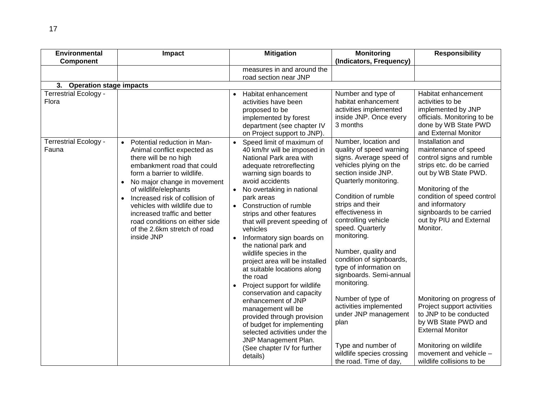| <b>Environmental</b>                  | Impact                                                                                                                                                                                                                                                                                                                                                                                                                             | <b>Mitigation</b>                                                                                                                                                                                                                                                                                                                                                                                                                                                                                                                                                                                                                                                                                                                                                | <b>Monitoring</b>                                                                                                                                                                                                                                                                                                                                                                                                                                                                                                                                                 | <b>Responsibility</b>                                                                                                                                                                                                                                                                                                                                                                                                                                                                      |
|---------------------------------------|------------------------------------------------------------------------------------------------------------------------------------------------------------------------------------------------------------------------------------------------------------------------------------------------------------------------------------------------------------------------------------------------------------------------------------|------------------------------------------------------------------------------------------------------------------------------------------------------------------------------------------------------------------------------------------------------------------------------------------------------------------------------------------------------------------------------------------------------------------------------------------------------------------------------------------------------------------------------------------------------------------------------------------------------------------------------------------------------------------------------------------------------------------------------------------------------------------|-------------------------------------------------------------------------------------------------------------------------------------------------------------------------------------------------------------------------------------------------------------------------------------------------------------------------------------------------------------------------------------------------------------------------------------------------------------------------------------------------------------------------------------------------------------------|--------------------------------------------------------------------------------------------------------------------------------------------------------------------------------------------------------------------------------------------------------------------------------------------------------------------------------------------------------------------------------------------------------------------------------------------------------------------------------------------|
| Component                             |                                                                                                                                                                                                                                                                                                                                                                                                                                    |                                                                                                                                                                                                                                                                                                                                                                                                                                                                                                                                                                                                                                                                                                                                                                  | (Indicators, Frequency)                                                                                                                                                                                                                                                                                                                                                                                                                                                                                                                                           |                                                                                                                                                                                                                                                                                                                                                                                                                                                                                            |
|                                       |                                                                                                                                                                                                                                                                                                                                                                                                                                    | measures in and around the                                                                                                                                                                                                                                                                                                                                                                                                                                                                                                                                                                                                                                                                                                                                       |                                                                                                                                                                                                                                                                                                                                                                                                                                                                                                                                                                   |                                                                                                                                                                                                                                                                                                                                                                                                                                                                                            |
|                                       |                                                                                                                                                                                                                                                                                                                                                                                                                                    | road section near JNP                                                                                                                                                                                                                                                                                                                                                                                                                                                                                                                                                                                                                                                                                                                                            |                                                                                                                                                                                                                                                                                                                                                                                                                                                                                                                                                                   |                                                                                                                                                                                                                                                                                                                                                                                                                                                                                            |
| <b>Operation stage impacts</b><br>3.  |                                                                                                                                                                                                                                                                                                                                                                                                                                    |                                                                                                                                                                                                                                                                                                                                                                                                                                                                                                                                                                                                                                                                                                                                                                  |                                                                                                                                                                                                                                                                                                                                                                                                                                                                                                                                                                   |                                                                                                                                                                                                                                                                                                                                                                                                                                                                                            |
| Terrestrial Ecology -<br>Flora        |                                                                                                                                                                                                                                                                                                                                                                                                                                    | Habitat enhancement<br>$\bullet$<br>activities have been<br>proposed to be<br>implemented by forest<br>department (see chapter IV<br>on Project support to JNP).                                                                                                                                                                                                                                                                                                                                                                                                                                                                                                                                                                                                 | Number and type of<br>habitat enhancement<br>activities implemented<br>inside JNP. Once every<br>3 months                                                                                                                                                                                                                                                                                                                                                                                                                                                         | Habitat enhancement<br>activities to be<br>implemented by JNP<br>officials. Monitoring to be<br>done by WB State PWD<br>and External Monitor                                                                                                                                                                                                                                                                                                                                               |
| <b>Terrestrial Ecology -</b><br>Fauna | Potential reduction in Man-<br>$\bullet$<br>Animal conflict expected as<br>there will be no high<br>embankment road that could<br>form a barrier to wildlife.<br>No major change in movement<br>$\bullet$<br>of wildlife/elephants<br>Increased risk of collision of<br>$\bullet$<br>vehicles with wildlife due to<br>increased traffic and better<br>road conditions on either side<br>of the 2.6km stretch of road<br>inside JNP | Speed limit of maximum of<br>40 km/hr will be imposed in<br>National Park area with<br>adequate retroreflecting<br>warning sign boards to<br>avoid accidents<br>No overtaking in national<br>$\bullet$<br>park areas<br>Construction of rumble<br>strips and other features<br>that will prevent speeding of<br>vehicles<br>Informatory sign boards on<br>the national park and<br>wildlife species in the<br>project area will be installed<br>at suitable locations along<br>the road<br>Project support for wildlife<br>conservation and capacity<br>enhancement of JNP<br>management will be<br>provided through provision<br>of budget for implementing<br>selected activities under the<br>JNP Management Plan.<br>(See chapter IV for further<br>details) | Number, location and<br>quality of speed warning<br>signs. Average speed of<br>vehicles plying on the<br>section inside JNP.<br>Quarterly monitoring.<br>Condition of rumble<br>strips and their<br>effectiveness in<br>controlling vehicle<br>speed. Quarterly<br>monitoring.<br>Number, quality and<br>condition of signboards,<br>type of information on<br>signboards. Semi-annual<br>monitoring.<br>Number of type of<br>activities implemented<br>under JNP management<br>plan<br>Type and number of<br>wildlife species crossing<br>the road. Time of day, | Installation and<br>maintenance of speed<br>control signs and rumble<br>strips etc. do be carried<br>out by WB State PWD.<br>Monitoring of the<br>condition of speed control<br>and informatory<br>signboards to be carried<br>out by PIU and External<br>Monitor.<br>Monitoring on progress of<br>Project support activities<br>to JNP to be conducted<br>by WB State PWD and<br><b>External Monitor</b><br>Monitoring on wildlife<br>movement and vehicle -<br>wildlife collisions to be |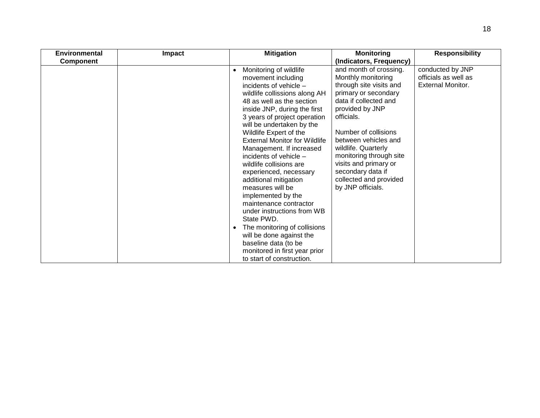| Environmental    | Impact | <b>Mitigation</b>                                                                                                                                                                                                                                                                                                                                                                                                                                                                                                                                                                                                                                                                                                                   | <b>Monitoring</b>                                                                                                                                                                                                                                                                                                                                        | <b>Responsibility</b>                                                |
|------------------|--------|-------------------------------------------------------------------------------------------------------------------------------------------------------------------------------------------------------------------------------------------------------------------------------------------------------------------------------------------------------------------------------------------------------------------------------------------------------------------------------------------------------------------------------------------------------------------------------------------------------------------------------------------------------------------------------------------------------------------------------------|----------------------------------------------------------------------------------------------------------------------------------------------------------------------------------------------------------------------------------------------------------------------------------------------------------------------------------------------------------|----------------------------------------------------------------------|
| <b>Component</b> |        |                                                                                                                                                                                                                                                                                                                                                                                                                                                                                                                                                                                                                                                                                                                                     | (Indicators, Frequency)                                                                                                                                                                                                                                                                                                                                  |                                                                      |
|                  |        | Monitoring of wildlife<br>$\bullet$<br>movement including<br>incidents of vehicle -<br>wildlife collissions along AH<br>48 as well as the section<br>inside JNP, during the first<br>3 years of project operation<br>will be undertaken by the<br>Wildlife Expert of the<br><b>External Monitor for Wildlife</b><br>Management. If increased<br>incidents of vehicle -<br>wildlife collisions are<br>experienced, necessary<br>additional mitigation<br>measures will be<br>implemented by the<br>maintenance contractor<br>under instructions from WB<br>State PWD.<br>The monitoring of collisions<br>$\bullet$<br>will be done against the<br>baseline data (to be<br>monitored in first year prior<br>to start of construction. | and month of crossing.<br>Monthly monitoring<br>through site visits and<br>primary or secondary<br>data if collected and<br>provided by JNP<br>officials.<br>Number of collisions<br>between vehicles and<br>wildlife. Quarterly<br>monitoring through site<br>visits and primary or<br>secondary data if<br>collected and provided<br>by JNP officials. | conducted by JNP<br>officials as well as<br><b>External Monitor.</b> |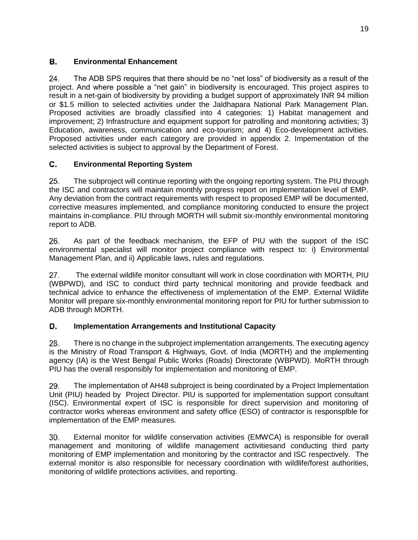### В. **Environmental Enhancement**

24. The ADB SPS requires that there should be no "net loss" of biodiversity as a result of the project. And where possible a "net gain" in biodiversity is encouraged. This project aspires to result in a net-gain of biodiversity by providing a budget support of approximately INR 94 million or \$1.5 million to selected activities under the Jaldhapara National Park Management Plan. Proposed activities are broadly classified into 4 categories: 1) Habitat management and improvement; 2) Infrastructure and equipment support for patrolling and monitoring activities; 3) Education, awareness, communication and eco-tourism; and 4) Eco-development activities. Proposed activities under each category are provided in appendix 2. Impementation of the selected activities is subject to approval by the Department of Forest.

### С. **Environmental Reporting System**

25. The subproject will continue reporting with the ongoing reporting system. The PIU through the ISC and contractors will maintain monthly progress report on implementation level of EMP. Any deviation from the contract requirements with respect to proposed EMP will be documented, corrective measures implemented, and compliance monitoring conducted to ensure the project maintains in-compliance. PIU through MORTH will submit six-monthly environmental monitoring report to ADB.

26. As part of the feedback mechanism, the EFP of PIU with the support of the ISC environmental specialist will monitor project compliance with respect to: i) Environmental Management Plan, and ii) Applicable laws, rules and regulations.

The external wildlife monitor consultant will work in close coordination with MORTH, PIU  $27.$ (WBPWD), and ISC to conduct third party technical monitoring and provide feedback and technical advice to enhance the effectiveness of implementation of the EMP. External Wildlife Monitor will prepare six-monthly environmental monitoring report for PIU for further submission to ADB through MORTH.

### D. **Implementation Arrangements and Institutional Capacity**

28. There is no change in the subproject implementation arrangements. The executing agency is the Ministry of Road Transport & Highways, Govt. of India (MORTH) and the implementing agency (IA) is the West Bengal Public Works (Roads) Directorate (WBPWD). MoRTH through PIU has the overall responsibly for implementation and monitoring of EMP.

29. The implementation of AH48 subproject is being coordinated by a Project Implementation Unit (PIU) headed by Project Director. PIU is supported for implementation support consultant (ISC). Environmental expert of ISC is responsible for direct supervision and monitoring of contractor works whereas environment and safety office (ESO) of contractor is responsplble for implementation of the EMP measures.

30. External monitor for wildlife conservation activities (EMWCA) is responsible for overall management and monitoring of wildlife management activitiesand conducting third party monitoring of EMP implementation and monitoring by the contractor and ISC respectively. The external monitor is also responsible for necessary coordination with wildlife/forest authorities, monitoring of wildlife protections activities, and reporting.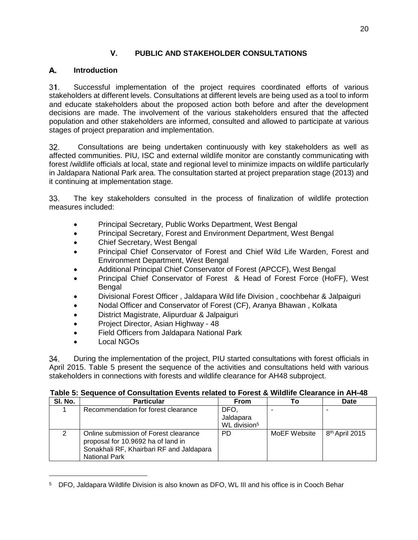## V. **PUBLIC AND STAKEHOLDER CONSULTATIONS**

### <span id="page-23-0"></span>**Introduction** А.

Successful implementation of the project requires coordinated efforts of various  $31.$ stakeholders at different levels. Consultations at different levels are being used as a tool to inform and educate stakeholders about the proposed action both before and after the development decisions are made. The involvement of the various stakeholders ensured that the affected population and other stakeholders are informed, consulted and allowed to participate at various stages of project preparation and implementation.

 Consultations are being undertaken continuously with key stakeholders as well as 32. affected communities. PIU, ISC and external wildlife monitor are constantly communicating with forest /wildlife officials at local, state and regional level to minimize impacts on wildlife particularly in Jaldapara National Park area. The consultation started at project preparation stage (2013) and it continuing at implementation stage.

The key stakeholders consulted in the process of finalization of wildlife protection 33. measures included:

- Principal Secretary, Public Works Department, West Bengal
- Principal Secretary, Forest and Environment Department, West Bengal
- Chief Secretary, West Bengal
- Principal Chief Conservator of Forest and Chief Wild Life Warden, Forest and Environment Department, West Bengal
- Additional Principal Chief Conservator of Forest (APCCF), West Bengal
- Principal Chief Conservator of Forest & Head of Forest Force (HoFF), West Bengal
- Divisional Forest Officer , Jaldapara Wild life Division , coochbehar & Jalpaiguri
- Nodal Officer and Conservator of Forest (CF), Aranya Bhawan , Kolkata
- District Magistrate, Alipurduar & Jalpaiguri
- Project Director, Asian Highway 48
- Field Officers from Jaldapara National Park
- Local NGOs

During the implementation of the project, PIU started consultations with forest officials in 34. April 2015. Table 5 present the sequence of the activities and consultations held with various stakeholders in connections with forests and wildlife clearance for AH48 subproject.

<span id="page-23-1"></span>

|  | Table 5: Sequence of Consultation Events related to Forest & Wildlife Clearance in AH-48 |
|--|------------------------------------------------------------------------------------------|
|--|------------------------------------------------------------------------------------------|

| SI. No. | <b>Particular</b>                                                                                                                               | īο                                            | Date         |                            |  |  |
|---------|-------------------------------------------------------------------------------------------------------------------------------------------------|-----------------------------------------------|--------------|----------------------------|--|--|
|         | Recommendation for forest clearance                                                                                                             | DFO.<br>Jaldapara<br>WL division <sup>5</sup> |              |                            |  |  |
| 2       | Online submission of Forest clearance<br>proposal for 10.9692 ha of land in<br>Sonakhali RF, Khairbari RF and Jaldapara<br><b>National Park</b> | PD.                                           | MoEF Website | 8 <sup>th</sup> April 2015 |  |  |

<sup>5</sup> DFO, Jaldapara Wildlife Division is also known as DFO, WL III and his office is in Cooch Behar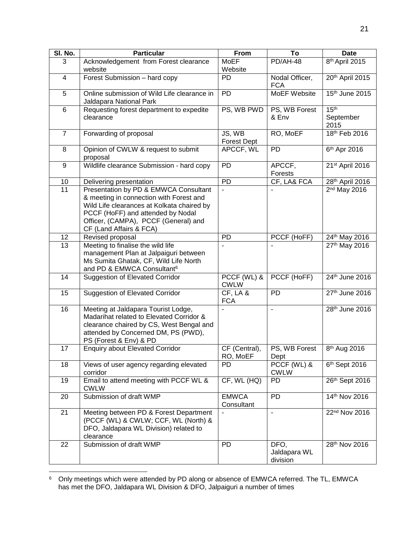| SI. No.        | <b>Particular</b>                                                                                                                                                                                                                      | From                         | To                               | <b>Date</b>                           |
|----------------|----------------------------------------------------------------------------------------------------------------------------------------------------------------------------------------------------------------------------------------|------------------------------|----------------------------------|---------------------------------------|
| 3              | Acknowledgement from Forest clearance<br>website                                                                                                                                                                                       | <b>MoEF</b><br>Website       | PD/AH-48                         | 8 <sup>th</sup> April 2015            |
| 4              | Forest Submission - hard copy                                                                                                                                                                                                          | <b>PD</b>                    | Nodal Officer,<br><b>FCA</b>     | 20th April 2015                       |
| 5              | Online submission of Wild Life clearance in<br>Jaldapara National Park                                                                                                                                                                 | PD                           | MoEF Website                     | 15th June 2015                        |
| 6              | Requesting forest department to expedite<br>clearance                                                                                                                                                                                  | PS, WB PWD                   | PS, WB Forest<br>& Env           | 15 <sup>th</sup><br>September<br>2015 |
| $\overline{7}$ | Forwarding of proposal                                                                                                                                                                                                                 | JS, WB<br><b>Forest Dept</b> | RO, MoEF                         | 18th Feb 2016                         |
| 8              | Opinion of CWLW & request to submit<br>proposal                                                                                                                                                                                        | APCCF, WL                    | PD                               | 6 <sup>th</sup> Apr 2016              |
| $9\,$          | Wildlife clearance Submission - hard copy                                                                                                                                                                                              | PD                           | APCCF,<br>Forests                | 21st April 2016                       |
| 10             | Delivering presentation                                                                                                                                                                                                                | $\overline{PD}$              | CF, LA& FCA                      | 28th April 2016                       |
| 11             | Presentation by PD & EMWCA Consultant<br>& meeting in connection with Forest and<br>Wild Life clearances at Kolkata chaired by<br>PCCF (HoFF) and attended by Nodal<br>Officer, (CAMPA), PCCF (General) and<br>CF (Land Affairs & FCA) | $\overline{a}$               |                                  | 2 <sup>nd</sup> May 2016              |
| 12             | Revised proposal                                                                                                                                                                                                                       | PD                           | PCCF (HoFF)                      | 24th May 2016                         |
| 13             | Meeting to finalise the wild life<br>management Plan at Jalpaiguri between<br>Ms Sumita Ghatak, CF, Wild Life North<br>and PD & EMWCA Consultant <sup>6</sup>                                                                          |                              |                                  | 27th May 2016                         |
| 14             | <b>Suggestion of Elevated Corridor</b>                                                                                                                                                                                                 | PCCF (WL) &<br><b>CWLW</b>   | PCCF (HoFF)                      | $24th$ June 2016                      |
| 15             | <b>Suggestion of Elevated Corridor</b>                                                                                                                                                                                                 | CF, LA &<br><b>FCA</b>       | $\overline{PD}$                  | 27th June 2016                        |
| 16             | Meeting at Jaldapara Tourist Lodge,<br>Madarihat related to Elevated Corridor &<br>clearance chaired by CS, West Bengal and<br>attended by Concerned DM, PS (PWD),<br>PS (Forest & Env) & PD                                           |                              |                                  | 28th June 2016                        |
| 17             | <b>Enquiry about Elevated Corridor</b>                                                                                                                                                                                                 | CF (Central),<br>RO, MoEF    | PS, WB Forest<br>Dept            | 8 <sup>th</sup> Aug 2016              |
| 18             | Views of user agency regarding elevated<br>corridor                                                                                                                                                                                    | <b>PD</b>                    | PCCF (WL) &<br><b>CWLW</b>       | 6th Sept 2016                         |
| 19             | Email to attend meeting with PCCF WL &<br><b>CWLW</b>                                                                                                                                                                                  | CF, WL (HQ)                  | <b>PD</b>                        | 26th Sept 2016                        |
| 20             | Submission of draft WMP                                                                                                                                                                                                                | <b>EMWCA</b><br>Consultant   | PD                               | 14th Nov 2016                         |
| 21             | Meeting between PD & Forest Department<br>(PCCF (WL) & CWLW; CCF, WL (North) &<br>DFO, Jaldapara WL Division) related to<br>clearance                                                                                                  | $\overline{\phantom{a}}$     | $\overline{\phantom{a}}$         | $22nd$ Nov 2016                       |
| 22             | Submission of draft WMP                                                                                                                                                                                                                | PD                           | DFO,<br>Jaldapara WL<br>division | 28th Nov 2016                         |

 $^6$  Only meetings which were attended by PD along or absence of EMWCA referred. The TL, EMWCA has met the DFO, Jaldapara WL Division & DFO, Jalpaiguri a number of times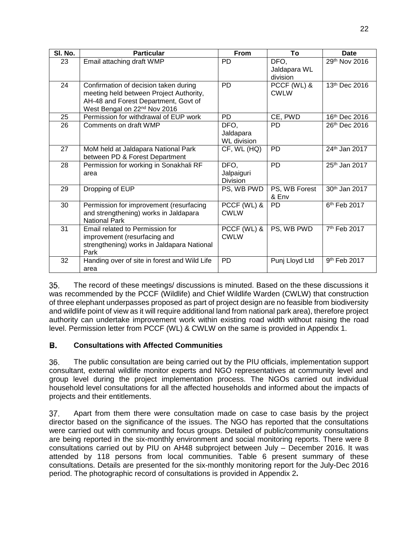| SI. No. | <b>Particular</b>                                                                                                                                                    | From                                    | To                               | <b>Date</b>               |
|---------|----------------------------------------------------------------------------------------------------------------------------------------------------------------------|-----------------------------------------|----------------------------------|---------------------------|
| 23      | Email attaching draft WMP                                                                                                                                            | <b>PD</b>                               | DFO,<br>Jaldapara WL<br>division | 29th Nov 2016             |
| 24      | Confirmation of decision taken during<br>meeting held between Project Authority,<br>AH-48 and Forest Department, Govt of<br>West Bengal on 22 <sup>nd</sup> Nov 2016 | <b>PD</b>                               | PCCF (WL) &<br><b>CWLW</b>       | 13th Dec 2016             |
| 25      | Permission for withdrawal of EUP work                                                                                                                                | <b>PD</b>                               | CE, PWD                          | 16 <sup>th</sup> Dec 2016 |
| 26      | Comments on draft WMP                                                                                                                                                | DFO,<br>Jaldapara<br><b>WL</b> division | <b>PD</b>                        | 26th Dec 2016             |
| 27      | MoM held at Jaldapara National Park<br>between PD & Forest Department                                                                                                | CF, WL (HQ)                             | PD                               | 24th Jan 2017             |
| 28      | Permission for working in Sonakhali RF<br>area                                                                                                                       | DFO.<br>Jalpaiguri<br><b>Division</b>   | <b>PD</b>                        | 25th Jan 2017             |
| 29      | Dropping of EUP                                                                                                                                                      | PS, WB PWD                              | PS, WB Forest<br>& Env           | 30th Jan 2017             |
| 30      | Permission for improvement (resurfacing<br>and strengthening) works in Jaldapara<br><b>National Park</b>                                                             | PCCF (WL) &<br><b>CWLW</b>              | <b>PD</b>                        | 6 <sup>th</sup> Feb 2017  |
| 31      | Email related to Permission for<br>improvement (resurfacing and<br>strengthening) works in Jaldapara National<br>Park                                                | PCCF (WL) &<br><b>CWLW</b>              | PS, WB PWD                       | 7 <sup>th</sup> Feb 2017  |
| 32      | Handing over of site in forest and Wild Life<br>area                                                                                                                 | PD                                      | Punj Lloyd Ltd                   | 9 <sup>th</sup> Feb 2017  |

35. The record of these meetings/ discussions is minuted. Based on the these discussions it was recommended by the PCCF (Wildlife) and Chief Wildlife Warden (CWLW) that construction of three elephant underpasses proposed as part of project design are no feasible from biodiversity and wildlife point of view as it will require additional land from national park area), therefore project authority can undertake improvement work within existing road width without raising the road level. Permission letter from PCCF (WL) & CWLW on the same is provided in Appendix 1.

### В. **Consultations with Affected Communities**

36. The public consultation are being carried out by the PIU officials, implementation support consultant, external wildlife monitor experts and NGO representatives at community level and group level during the project implementation process. The NGOs carried out individual household level consultations for all the affected households and informed about the impacts of projects and their entitlements.

37. Apart from them there were consultation made on case to case basis by the project director based on the significance of the issues. The NGO has reported that the consultations were carried out with community and focus groups. Detailed of public/community consultations are being reported in the six-monthly environment and social monitoring reports. There were 8 consultations carried out by PIU on AH48 subproject between July – December 2016. It was attended by 118 persons from local communities. Table 6 present summary of these consultations. Details are presented for the six-monthly monitoring report for the July-Dec 2016 period. The photographic record of consultations is provided in Appendix 2**.**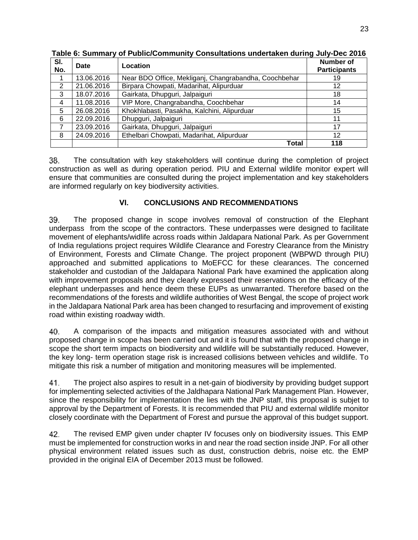| SI.<br>No. | Date       | Location                                              | Number of<br><b>Participants</b> |
|------------|------------|-------------------------------------------------------|----------------------------------|
|            | 13.06.2016 | Near BDO Office, Mekliganj, Changrabandha, Coochbehar | 19                               |
| 2          | 21.06.2016 | Birpara Chowpati, Madarihat, Alipurduar               | 12                               |
| 3          | 18.07.2016 | Gairkata, Dhupguri, Jalpaiguri                        | 18                               |
| 4          | 11.08.2016 | VIP More, Changrabandha, Coochbehar                   | 14                               |
| 5          | 26.08.2016 | Khokhlabasti, Pasakha, Kalchini, Alipurduar           | 15                               |
| 6          | 22.09.2016 | Dhupguri, Jalpaiguri                                  | 11                               |
| 7          | 23.09.2016 | Gairkata, Dhupguri, Jalpaiguri                        | 17                               |
| 8          | 24.09.2016 | Ethelbari Chowpati, Madarihat, Alipurduar             | 12                               |
|            |            | Total                                                 | 118                              |

<span id="page-26-1"></span>**Table 6: Summary of Public/Community Consultations undertaken during July-Dec 2016** 

38. The consultation with key stakeholders will continue during the completion of project construction as well as during operation period. PIU and External wildlife monitor expert will ensure that communities are consulted during the project implementation and key stakeholders are informed regularly on key biodiversity activities.

## VI. **CONCLUSIONS AND RECOMMENDATIONS**

<span id="page-26-0"></span>The proposed change in scope involves removal of construction of the Elephant 39. underpass from the scope of the contractors. These underpasses were designed to facilitate movement of elephants/widlife across roads within Jaldapara National Park. As per Government of India regulations project requires Wildlife Clearance and Forestry Clearance from the Ministry of Environment, Forests and Climate Change. The project proponent (WBPWD through PIU) approached and submitted applications to MoEFCC for these clearances. The concerned stakeholder and custodian of the Jaldapara National Park have examined the application along with improvement proposals and they clearly expressed their reservations on the efficacy of the elephant underpasses and hence deem these EUPs as unwarranted. Therefore based on the recommendations of the forests and wildlife authorities of West Bengal, the scope of project work in the Jaldapara National Park area has been changed to resurfacing and improvement of existing road within existing roadway width.

40. A comparison of the impacts and mitigation measures associated with and without proposed change in scope has been carried out and it is found that with the proposed change in scope the short term impacts on biodiversity and wildlife will be substantially reduced. However, the key long- term operation stage risk is increased collisions between vehicles and wildlife. To mitigate this risk a number of mitigation and monitoring measures will be implemented.

41. The project also aspires to result in a net-gain of biodiversity by providing budget support for implementing selected activities of the Jaldhapara National Park Management Plan. However, since the responsibility for implementation the lies with the JNP staff, this proposal is subjet to approval by the Department of Forests. It is recommended that PIU and external wildlife monitor closely coordinate with the Department of Forest and pursue the approval of this budget support.

42. The revised EMP given under chapter IV focuses only on biodiversity issues. This EMP must be implemented for construction works in and near the road section inside JNP. For all other physical environment related issues such as dust, construction debris, noise etc. the EMP provided in the original EIA of December 2013 must be followed.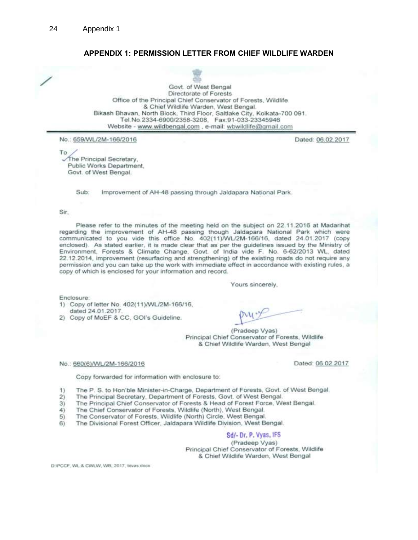## APPENDIX 1: PERMISSION LETTER FROM CHIEF WILDLIFE WARDEN

Govt. of West Bengal Directorate of Forests Office of the Principal Chief Conservator of Forests, Wildlife & Chief Wildlife Warden, West Bengal. Bikash Bhavan, North Block, Third Floor, Saltlake City, Kolkata-700 091. Tel.No.2334-6900/2358-3208, Fax.91-033-23345946 Website - www.wildbengal.com, e-mail: wbwildlife@gmail.com

No.: 659/WL/2M-166/2016

To The Principal Secretary, Public Works Department. Govt. of West Bengal.

> Sub. Improvement of AH-48 passing through Jaldapara National Park.

### Sir.

Please refer to the minutes of the meeting held on the subject on 22.11.2016 at Madarihat regarding the improvement of AH-48 passing though Jaldapara National Park which were communicated to you vide this office No. 402(11)/WL/2M-166/16, dated 24.01.2017 (copy enclosed). As stated earlier, it is made clear that as per the guidelines issued by the Ministry of Environment, Forests & Climate Change, Govt. of India vide F. No. 6-62/2013 WL, dated 22.12.2014, improvement (resurfacing and strengthening) of the existing roads do not require any permission and you can take up the work with immediate effect in accordance with existing rules, a copy of which is enclosed for your information and record.

Yours sincerely.

Enclosure:

1) Copy of letter No. 402(11)/WL/2M-166/16, dated 24.01.2017.

2) Copy of MoEF & CC, GOI's Guideline.

(Pradeep Vyas) Principal Chief Conservator of Forests, Wildlife & Chief Wildlife Warden, West Bengal

### No.: 660(6)/WL/2M-166/2016

Copy forwarded for information with enclosure to:

The P. S. to Hon'ble Minister-in-Charge, Department of Forests, Govt. of West Bengal.  $1)$ 

- The Principal Secretary, Department of Forests, Govt. of West Bengal.  $2)$
- $3)$ The Principal Chief Conservator of Forests & Head of Forest Force, West Bengal.
- The Chief Conservator of Forests, Wildlife (North), West Bengal.  $4)$
- The Conservator of Forests, Wildlife (North) Circle, West Bengal.  $5)$
- The Divisional Forest Officer, Jaldapara Wildlife Division, West Bengal.  $6)$

Sd/- Dr. P. Vyas, IFS

(Pradeep Vyas) Principal Chief Conservator of Forests, Wildlife & Chief Wildlife Warden, West Bengal

D:/PCCF, WL & CWLW, WB, 2017, bivas docx

Dated: 06.02.2017

Dated: 06.02.2017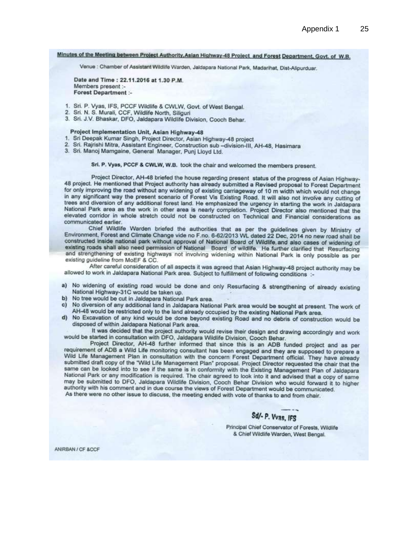## Minutes of the Meeting between Project Authority, Asian Highway-48 Project and Forest Department, Govt. of W.B.

Venue : Chamber of Assistant Wildlife Warden, Jaldapara National Park, Madarihat, Dist-Alipurduar.

Date and Time: 22.11.2016 at 1.30 P.M. Members present :-**Forest Department :-**

- 1. Sri. P. Vyas, IFS, PCCF Wildlife & CWLW, Govt. of West Bengal.
- 2. Sri. N. S. Murali, CCF, Wildlife North, Siliguri
- 3. Sri. J.V. Bhaskar, DFO, Jaldapara Wildlife Division, Cooch Behar.

### Project Implementation Unit, Asian Highway-48

- 1. Sri Deepak Kumar Singh, Project Director, Asian Highway-48 project
- 2. Sri. Rajrishi Mitra, Assistant Engineer, Construction sub -division-III, AH-48, Hasimara
- 3. Sri. Manoj Mamgaine, General Manager, Puni Lloyd Ltd.

## Sri. P. Vyas, PCCF & CWLW, W.B. took the chair and welcomed the members present.

Project Director, AH-48 briefed the house regarding present status of the progress of Asian Highway-48 project. He mentioned that Project authority has already submitted a Revised proposal to Forest Department for only improving the road without any widening of existing carriageway of 10 m width which would not change in any significant way the present scenario of Forest Vis Existing Road. It will also not involve any cutting of trees and diversion of any additional forest land. He emphasized the urgency in starting the work in Jaldapara National Park area as the work in other area is nearly completion. Project Director also mentioned that the elevated corridor in whole stretch could not be constructed on Technical and Financial considerations as communicated earlier.

Chief Wildlife Warden briefed the authorities that as per the guidelines given by Ministry of Environment, Forest and Climate Change vide no F.no. 6-62/2013 WL dated 22 Dec, 2014 no new road shall be constructed inside national park without approval of National Board of Wildlife, and also cases of widening of existing roads shall also need permission of National Board of wildlife. He further clarified that Resurfacing and strengthening of existing highways not involving widening within National Park is only possible as per existing guideline from MoEF & CC.

After careful consideration of all aspects it was agreed that Asian Highway-48 project authority may be allowed to work in Jaldapara National Park area. Subject to fulfillment of following conditions :-

- a) No widening of existing road would be done and only Resurfacing & strengthening of already existing National Highway-31C would be taken up.
- b) No tree would be cut in Jaldapara National Park area.
- c) No diversion of any additional land in Jaldapara National Park area would be sought at present. The work of AH-48 would be restricted only to the land already occupied by the existing National Park area.
- d) No Excavation of any kind would be done beyond existing Road and no debris of construction would be disposed of within Jaldapara National Park area.

It was decided that the project authority would revise their design and drawing accordingly and work would be started in consultation with DFO, Jaldapara Wildlife Division, Cooch Behar.

Project Director, AH-48 further informed that since this is an ADB funded project and as per requirement of ADB a Wild Life monitoring consultant has been engaged and they are supposed to prepare a Wild Life Management Plan in consultation with the concern Forest Department official. They have already submitted draft copy of the "Wild Life Management Plan" proposal. Project Director requested the chair that the same can be looked into to see if the same is in conformity with the Existing Management Plan of Jaldapara National Park or any modification is required. The chair agreed to look into it and advised that a copy of same may be submitted to DFO, Jaldapara Wildlife Division, Cooch Behar Division who would forward it to higher authority with his comment and in due course the views of Forest Department would be communicated. As there were no other issue to discuss, the meeting ended with vote of thanks to and from chair.

Sd/- P. Vvas, IFS

Principal Chief Conservator of Forests, Wildlife & Chief Wildlife Warden, West Bengal.

ANIRBAN / CF &CCF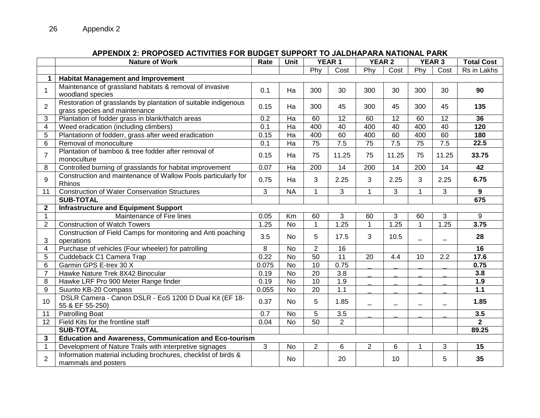### APPENDIX 2: PROPOSED ACTIVITIES FOR BUDGET SUPPORT TO JALDHAPARA NATIONAL PARK<br>Rate | Unit | YEAR 1 | YEAR 2 | YEAR 3 **Nature of Work Rate Unit YEAR 1 YEAR 2 YEAR 3 Total Cost** Phy Cost Phy Cost Phy Cost Rs in Lakhs **1 Habitat Management and Improvement** 1 Maintenance of grassland habitats & removal of invasive wamteriance or grassiand nabitals & removal or myasive  $\begin{array}{|c|c|c|c|c|c|c|c|c|} \hline 0.1 & Ha & 300 & 30 & 30 & 30 & 30 & 30 \ \hline \hline \end{array}$ 2 Restoration of grasslands by plantation of suitable indigenous grass species and maintenance<br>grass species and maintenance 3 Plantation of fodder grass in blank/thatch areas 0.2 Ha 60 12 60 12 60 12 **36** 4 Weed eradication (including climbers) 0.1 Ha 400 40 400 40 400 40 **120** 5 Plantationn of fodderr, grass after weed eradication 0.15 Ha 400 60 400 60 400 60 **180** 6 Removal of monoculture 0.1 Ha 75 7.5 75 7.5 75 7.5 **22.5** 7 Plantation of bamboo & tree fodder after removal of monoculture 0.14 **11.25** 11.25 **33.75** 11.25 11.25 11.25 11.25 11.25 11.25 11.25 11.25 11.25 13.75 8 Controlled burning of grasslands for habitat improvement 0.07 Ha 200 14 200 14 200 14 **42** 9 Construction and maintenance of Wallow Pools particularly for Rhinos 0.75 Ha <sup>3</sup> 2.25 <sup>3</sup> 2.25 <sup>3</sup> 2.25 **6.75** 11 Construction of Water Conservation Structures 3 NA 1 3 1 3 1 3 9<br> **SUB-TOTAL** 67 **SUB-TOTAL 675 2 Infrastructure and Equipment Support** 1 Maintenance of Fire lines 0.05 Km 60 3 60 3 60 3 9 2 Construction of Watch Towers 1.25 No 1 1.25 1 1.25 1 1.25 **3.75** 3 Construction of Field Camps for monitoring and Anti poaching  $\frac{1}{28}$  operations 3.5  $\frac{1}{28}$  10.5  $\frac{1}{28}$   $\frac{1}{28}$   $\frac{1}{28}$   $\frac{1}{28}$   $\frac{1}{28}$   $\frac{1}{28}$   $\frac{1}{28}$   $\frac{1}{28}$   $\frac{1}{28}$   $\frac{1}{28}$   $\frac{1}{28}$   $\frac{1}{28}$   $\frac{1}{28}$   $\frac{1}{28}$   $\frac{1}{28}$   $\frac{1}{28}$   $\frac$ 4 Purchase of vehicles (Four wheeler) for patrolling 8 No 2 16 16 5 Cuddeback C1 Camera Trap 0.22 No 50 11 20 4.4 10 2.2 **17.6** 6 Garmin GPS E-trex 30 X 0.075 No 10 0.75 \_ \_ \_ \_ **0.75** 7 Hawke Nature Trek 8X42 Binocular 0.19 No 20 3.8 \_ \_ \_ \_ **3.8** 8 Hawke LRF Pro 900 Meter Range finder **1.9** 0.19 No 10 1.9 \_ \_ \_ \_ \_ \_ \_ \_ \_ \_ 1.9 9 Suunto KB-20 Compass 0.055 No 20 1.1 \_ \_ \_ \_ **1.1** 10 DSLR Camera - Canon DSLR - EoS 1200 D Dual Kit (EF 18-<br>55 & EF 55-250)  $55$  & EF 55-250) **1.85**  $\frac{1}{2}$  (1.85  $\frac{1}{2}$   $\frac{1}{2}$   $\frac{1}{2}$   $\frac{1}{2}$   $\frac{1}{2}$   $\frac{1}{2}$   $\frac{1}{2}$   $\frac{1}{2}$   $\frac{1}{2}$   $\frac{1}{2}$   $\frac{1}{2}$   $\frac{1}{2}$   $\frac{1}{2}$   $\frac{1}{2}$   $\frac{1}{2}$   $\frac{1}{2}$   $\frac{1}{2}$   $\frac{1}{2}$  11 Patrolling Boat 0.7 No 5 3.5 \_ \_ \_ \_ **3.5** 12 Field Kits for the frontline staff 0.04 No 50 2 **2 SUB-TOTAL 89.25 3 Education and Awareness, Communication and Eco-tourism** 1 Development of Nature Trails with interpretive signages 3 No 2 6 2 6 1 3 **15** 2 Information material including brochures, checklist of birds & mormalion material including brochures, checklist of birds  $\alpha$   $\alpha$  | No | 20 | 10 | 5 | 35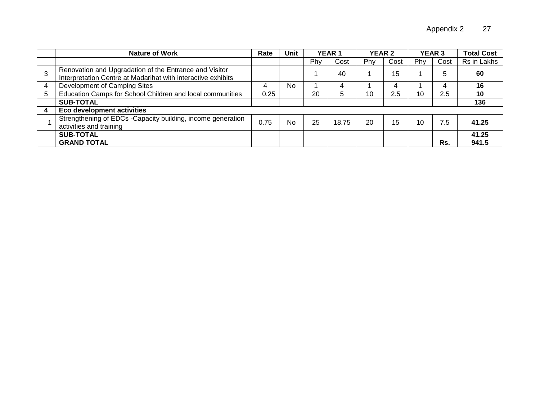|   | <b>Nature of Work</b>                                                                                                  | Rate | Unit |     | <b>YEAR 1</b> | <b>YEAR 2</b> |      | <b>YEAR 3</b> |      | <b>Total Cost</b> |
|---|------------------------------------------------------------------------------------------------------------------------|------|------|-----|---------------|---------------|------|---------------|------|-------------------|
|   |                                                                                                                        |      |      | Phy | Cost          | Phy           | Cost | <b>Phy</b>    | Cost | Rs in Lakhs       |
|   | Renovation and Upgradation of the Entrance and Visitor<br>Interpretation Centre at Madarihat with interactive exhibits |      |      |     | 40            |               | 15   |               | 5    | 60                |
| 4 | Development of Camping Sites                                                                                           | 4    | No   |     |               |               | 4    |               | 4    | 16                |
| 5 | Education Camps for School Children and local communities                                                              | 0.25 |      | 20  |               | 10            | 2.5  | 10            | 2.5  | 10                |
|   | <b>SUB-TOTAL</b>                                                                                                       |      |      |     |               |               |      |               |      | 136               |
| 4 | <b>Eco development activities</b>                                                                                      |      |      |     |               |               |      |               |      |                   |
|   | Strengthening of EDCs -Capacity building, income generation<br>activities and training                                 | 0.75 | No   | 25  | 18.75         | 20            | 15   | 10            | 7.5  | 41.25             |
|   | <b>SUB-TOTAL</b>                                                                                                       |      |      |     |               |               |      |               |      | 41.25             |
|   | <b>GRAND TOTAL</b>                                                                                                     |      |      |     |               |               |      |               | Rs.  | 941.5             |